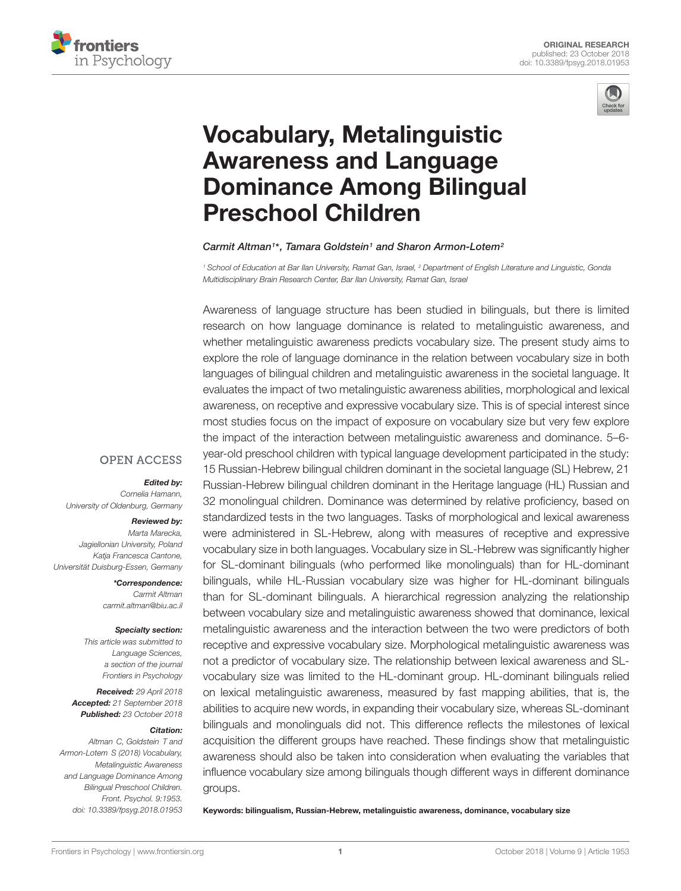



# Vocabulary, Metalinguistic Awareness and Language [Dominance Among Bilingual](https://www.frontiersin.org/articles/10.3389/fpsyg.2018.01953/full) Preschool Children

[Carmit Altman](http://loop.frontiersin.org/people/505404/overview)<sup>1\*</sup>, [Tamara Goldstein](http://loop.frontiersin.org/people/620012/overview)<sup>1</sup> and [Sharon Armon-Lotem](http://loop.frontiersin.org/people/396415/overview)<sup>2</sup>

<sup>1</sup> School of Education at Bar Ilan University, Ramat Gan, Israel, <sup>2</sup> Department of English Literature and Linguistic, Gonda Multidisciplinary Brain Research Center, Bar Ilan University, Ramat Gan, Israel

Awareness of language structure has been studied in bilinguals, but there is limited research on how language dominance is related to metalinguistic awareness, and whether metalinguistic awareness predicts vocabulary size. The present study aims to explore the role of language dominance in the relation between vocabulary size in both languages of bilingual children and metalinguistic awareness in the societal language. It evaluates the impact of two metalinguistic awareness abilities, morphological and lexical awareness, on receptive and expressive vocabulary size. This is of special interest since most studies focus on the impact of exposure on vocabulary size but very few explore the impact of the interaction between metalinguistic awareness and dominance. 5–6 year-old preschool children with typical language development participated in the study: 15 Russian-Hebrew bilingual children dominant in the societal language (SL) Hebrew, 21 Russian-Hebrew bilingual children dominant in the Heritage language (HL) Russian and 32 monolingual children. Dominance was determined by relative proficiency, based on standardized tests in the two languages. Tasks of morphological and lexical awareness were administered in SL-Hebrew, along with measures of receptive and expressive vocabulary size in both languages. Vocabulary size in SL-Hebrew was significantly higher for SL-dominant bilinguals (who performed like monolinguals) than for HL-dominant bilinguals, while HL-Russian vocabulary size was higher for HL-dominant bilinguals than for SL-dominant bilinguals. A hierarchical regression analyzing the relationship between vocabulary size and metalinguistic awareness showed that dominance, lexical metalinguistic awareness and the interaction between the two were predictors of both receptive and expressive vocabulary size. Morphological metalinguistic awareness was not a predictor of vocabulary size. The relationship between lexical awareness and SLvocabulary size was limited to the HL-dominant group. HL-dominant bilinguals relied on lexical metalinguistic awareness, measured by fast mapping abilities, that is, the abilities to acquire new words, in expanding their vocabulary size, whereas SL-dominant bilinguals and monolinguals did not. This difference reflects the milestones of lexical acquisition the different groups have reached. These findings show that metalinguistic awareness should also be taken into consideration when evaluating the variables that influence vocabulary size among bilinguals though different ways in different dominance groups.

### **OPEN ACCESS**

#### Edited by:

Cornelia Hamann, University of Oldenburg, Germany

#### Reviewed by:

Marta Marecka, Jagiellonian University, Poland Katja Francesca Cantone, Universität Duisburg-Essen, Germany

> \*Correspondence: Carmit Altman carmit.altman@biu.ac.il

### Specialty section:

This article was submitted to Language Sciences, a section of the journal Frontiers in Psychology

Received: 29 April 2018 Accepted: 21 September 2018 Published: 23 October 2018

#### Citation:

Altman C, Goldstein T and Armon-Lotem S (2018) Vocabulary, Metalinguistic Awareness and Language Dominance Among Bilingual Preschool Children. Front. Psychol. 9:1953. doi: [10.3389/fpsyg.2018.01953](https://doi.org/10.3389/fpsyg.2018.01953)

Keywords: bilingualism, Russian-Hebrew, metalinguistic awareness, dominance, vocabulary size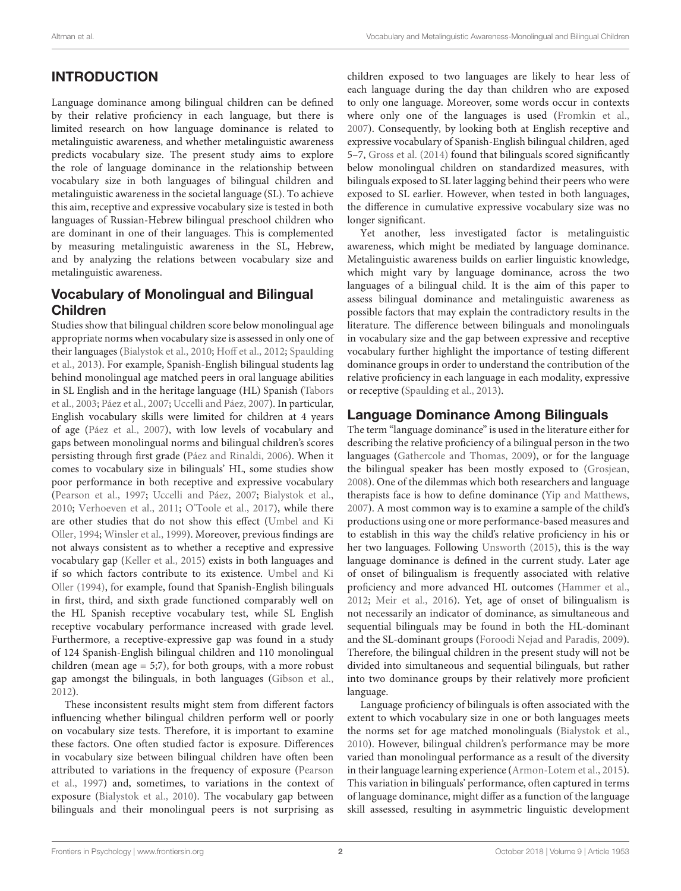# INTRODUCTION

Language dominance among bilingual children can be defined by their relative proficiency in each language, but there is limited research on how language dominance is related to metalinguistic awareness, and whether metalinguistic awareness predicts vocabulary size. The present study aims to explore the role of language dominance in the relationship between vocabulary size in both languages of bilingual children and metalinguistic awareness in the societal language (SL). To achieve this aim, receptive and expressive vocabulary size is tested in both languages of Russian-Hebrew bilingual preschool children who are dominant in one of their languages. This is complemented by measuring metalinguistic awareness in the SL, Hebrew, and by analyzing the relations between vocabulary size and metalinguistic awareness.

# Vocabulary of Monolingual and Bilingual Children

Studies show that bilingual children score below monolingual age appropriate norms when vocabulary size is assessed in only one of their languages [\(Bialystok et al.,](#page-13-0) [2010;](#page-13-0) [Hoff et al.,](#page-14-0) [2012;](#page-14-0) [Spaulding](#page-15-0) [et al.,](#page-15-0) [2013\)](#page-15-0). For example, Spanish-English bilingual students lag behind monolingual age matched peers in oral language abilities in SL English and in the heritage language (HL) Spanish [\(Tabors](#page-15-1) [et al.,](#page-15-1) [2003;](#page-15-1) [Páez et al.,](#page-15-2) [2007;](#page-15-2) [Uccelli and Páez,](#page-15-3) [2007\)](#page-15-3). In particular, English vocabulary skills were limited for children at 4 years of age [\(Páez et al.,](#page-15-2) [2007\)](#page-15-2), with low levels of vocabulary and gaps between monolingual norms and bilingual children's scores persisting through first grade [\(Páez and Rinaldi,](#page-15-4) [2006\)](#page-15-4). When it comes to vocabulary size in bilinguals' HL, some studies show poor performance in both receptive and expressive vocabulary [\(Pearson et al.,](#page-15-5) [1997;](#page-15-5) [Uccelli and Páez,](#page-15-3) [2007;](#page-15-3) [Bialystok et al.,](#page-13-0) [2010;](#page-13-0) [Verhoeven et al.,](#page-15-6) [2011;](#page-15-6) [O'Toole et al.,](#page-15-7) [2017\)](#page-15-7), while there are other studies that do not show this effect [\(Umbel and Ki](#page-15-8) [Oller,](#page-15-8) [1994;](#page-15-8) [Winsler et al.,](#page-15-9) [1999\)](#page-15-9). Moreover, previous findings are not always consistent as to whether a receptive and expressive vocabulary gap [\(Keller et al.,](#page-14-1) [2015\)](#page-14-1) exists in both languages and if so which factors contribute to its existence. [Umbel and Ki](#page-15-8) [Oller](#page-15-8) [\(1994\)](#page-15-8), for example, found that Spanish-English bilinguals in first, third, and sixth grade functioned comparably well on the HL Spanish receptive vocabulary test, while SL English receptive vocabulary performance increased with grade level. Furthermore, a receptive-expressive gap was found in a study of 124 Spanish-English bilingual children and 110 monolingual children (mean age = 5;7), for both groups, with a more robust gap amongst the bilinguals, in both languages [\(Gibson et al.,](#page-14-2) [2012\)](#page-14-2).

These inconsistent results might stem from different factors influencing whether bilingual children perform well or poorly on vocabulary size tests. Therefore, it is important to examine these factors. One often studied factor is exposure. Differences in vocabulary size between bilingual children have often been attributed to variations in the frequency of exposure [\(Pearson](#page-15-5) [et al.,](#page-15-5) [1997\)](#page-15-5) and, sometimes, to variations in the context of exposure [\(Bialystok et al.,](#page-13-0) [2010\)](#page-13-0). The vocabulary gap between bilinguals and their monolingual peers is not surprising as

children exposed to two languages are likely to hear less of each language during the day than children who are exposed to only one language. Moreover, some words occur in contexts where only one of the languages is used [\(Fromkin et al.,](#page-14-3) [2007\)](#page-14-3). Consequently, by looking both at English receptive and expressive vocabulary of Spanish-English bilingual children, aged 5–7, [Gross et al.](#page-14-4) [\(2014\)](#page-14-4) found that bilinguals scored significantly below monolingual children on standardized measures, with bilinguals exposed to SL later lagging behind their peers who were exposed to SL earlier. However, when tested in both languages, the difference in cumulative expressive vocabulary size was no longer significant.

Yet another, less investigated factor is metalinguistic awareness, which might be mediated by language dominance. Metalinguistic awareness builds on earlier linguistic knowledge, which might vary by language dominance, across the two languages of a bilingual child. It is the aim of this paper to assess bilingual dominance and metalinguistic awareness as possible factors that may explain the contradictory results in the literature. The difference between bilinguals and monolinguals in vocabulary size and the gap between expressive and receptive vocabulary further highlight the importance of testing different dominance groups in order to understand the contribution of the relative proficiency in each language in each modality, expressive or receptive [\(Spaulding et al.,](#page-15-0) [2013\)](#page-15-0).

# Language Dominance Among Bilinguals

The term "language dominance" is used in the literature either for describing the relative proficiency of a bilingual person in the two languages [\(Gathercole and Thomas,](#page-14-5) [2009\)](#page-14-5), or for the language the bilingual speaker has been mostly exposed to [\(Grosjean,](#page-14-6) [2008\)](#page-14-6). One of the dilemmas which both researchers and language therapists face is how to define dominance [\(Yip and Matthews,](#page-15-10) [2007\)](#page-15-10). A most common way is to examine a sample of the child's productions using one or more performance-based measures and to establish in this way the child's relative proficiency in his or her two languages. Following [Unsworth](#page-15-11) [\(2015\)](#page-15-11), this is the way language dominance is defined in the current study. Later age of onset of bilingualism is frequently associated with relative proficiency and more advanced HL outcomes [\(Hammer et al.,](#page-14-7) [2012;](#page-14-7) [Meir et al.,](#page-14-8) [2016\)](#page-14-8). Yet, age of onset of bilingualism is not necessarily an indicator of dominance, as simultaneous and sequential bilinguals may be found in both the HL-dominant and the SL-dominant groups [\(Foroodi Nejad and Paradis,](#page-14-9) [2009\)](#page-14-9). Therefore, the bilingual children in the present study will not be divided into simultaneous and sequential bilinguals, but rather into two dominance groups by their relatively more proficient language.

Language proficiency of bilinguals is often associated with the extent to which vocabulary size in one or both languages meets the norms set for age matched monolinguals [\(Bialystok et al.,](#page-13-0) [2010\)](#page-13-0). However, bilingual children's performance may be more varied than monolingual performance as a result of the diversity in their language learning experience [\(Armon-Lotem et al.,](#page-13-1) [2015\)](#page-13-1). This variation in bilinguals' performance, often captured in terms of language dominance, might differ as a function of the language skill assessed, resulting in asymmetric linguistic development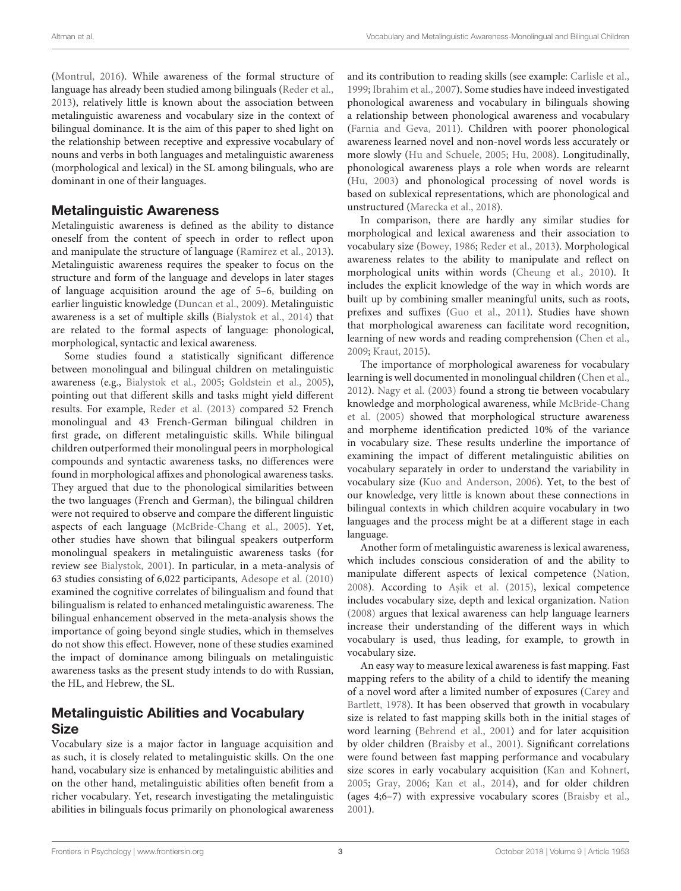[\(Montrul,](#page-14-10) [2016\)](#page-14-10). While awareness of the formal structure of language has already been studied among bilinguals [\(Reder et al.,](#page-15-12) [2013\)](#page-15-12), relatively little is known about the association between metalinguistic awareness and vocabulary size in the context of bilingual dominance. It is the aim of this paper to shed light on the relationship between receptive and expressive vocabulary of nouns and verbs in both languages and metalinguistic awareness (morphological and lexical) in the SL among bilinguals, who are dominant in one of their languages.

### Metalinguistic Awareness

Metalinguistic awareness is defined as the ability to distance oneself from the content of speech in order to reflect upon and manipulate the structure of language [\(Ramirez et al.,](#page-15-13) [2013\)](#page-15-13). Metalinguistic awareness requires the speaker to focus on the structure and form of the language and develops in later stages of language acquisition around the age of 5–6, building on earlier linguistic knowledge [\(Duncan et al.,](#page-14-11) [2009\)](#page-14-11). Metalinguistic awareness is a set of multiple skills [\(Bialystok et al.,](#page-13-2) [2014\)](#page-13-2) that are related to the formal aspects of language: phonological, morphological, syntactic and lexical awareness.

Some studies found a statistically significant difference between monolingual and bilingual children on metalinguistic awareness (e.g., [Bialystok et al.,](#page-13-3) [2005;](#page-13-3) [Goldstein et al.,](#page-14-12) [2005\)](#page-14-12), pointing out that different skills and tasks might yield different results. For example, [Reder et al.](#page-15-12) [\(2013\)](#page-15-12) compared 52 French monolingual and 43 French-German bilingual children in first grade, on different metalinguistic skills. While bilingual children outperformed their monolingual peers in morphological compounds and syntactic awareness tasks, no differences were found in morphological affixes and phonological awareness tasks. They argued that due to the phonological similarities between the two languages (French and German), the bilingual children were not required to observe and compare the different linguistic aspects of each language [\(McBride-Chang et al.,](#page-14-13) [2005\)](#page-14-13). Yet, other studies have shown that bilingual speakers outperform monolingual speakers in metalinguistic awareness tasks (for review see [Bialystok,](#page-13-4) [2001\)](#page-13-4). In particular, in a meta-analysis of 63 studies consisting of 6,022 participants, [Adesope et al.](#page-13-5) [\(2010\)](#page-13-5) examined the cognitive correlates of bilingualism and found that bilingualism is related to enhanced metalinguistic awareness. The bilingual enhancement observed in the meta-analysis shows the importance of going beyond single studies, which in themselves do not show this effect. However, none of these studies examined the impact of dominance among bilinguals on metalinguistic awareness tasks as the present study intends to do with Russian, the HL, and Hebrew, the SL.

# Metalinguistic Abilities and Vocabulary Size

Vocabulary size is a major factor in language acquisition and as such, it is closely related to metalinguistic skills. On the one hand, vocabulary size is enhanced by metalinguistic abilities and on the other hand, metalinguistic abilities often benefit from a richer vocabulary. Yet, research investigating the metalinguistic abilities in bilinguals focus primarily on phonological awareness

and its contribution to reading skills (see example: [Carlisle et al.,](#page-13-6) [1999;](#page-13-6) [Ibrahim et al.,](#page-14-14) [2007\)](#page-14-14). Some studies have indeed investigated phonological awareness and vocabulary in bilinguals showing a relationship between phonological awareness and vocabulary [\(Farnia and Geva,](#page-14-15) [2011\)](#page-14-15). Children with poorer phonological awareness learned novel and non-novel words less accurately or more slowly [\(Hu and Schuele,](#page-14-16) [2005;](#page-14-16) [Hu,](#page-14-17) [2008\)](#page-14-17). Longitudinally, phonological awareness plays a role when words are relearnt [\(Hu,](#page-14-18) [2003\)](#page-14-18) and phonological processing of novel words is based on sublexical representations, which are phonological and unstructured [\(Marecka et al.,](#page-14-19) [2018\)](#page-14-19).

In comparison, there are hardly any similar studies for morphological and lexical awareness and their association to vocabulary size [\(Bowey,](#page-13-7) [1986;](#page-13-7) [Reder et al.,](#page-15-12) [2013\)](#page-15-12). Morphological awareness relates to the ability to manipulate and reflect on morphological units within words [\(Cheung et al.,](#page-14-20) [2010\)](#page-14-20). It includes the explicit knowledge of the way in which words are built up by combining smaller meaningful units, such as roots, prefixes and suffixes [\(Guo et al.,](#page-14-21) [2011\)](#page-14-21). Studies have shown that morphological awareness can facilitate word recognition, learning of new words and reading comprehension [\(Chen et al.,](#page-13-8) [2009;](#page-13-8) [Kraut,](#page-14-22) [2015\)](#page-14-22).

The importance of morphological awareness for vocabulary learning is well documented in monolingual children [\(Chen et al.,](#page-13-9) [2012\)](#page-13-9). [Nagy et al.](#page-14-23) [\(2003\)](#page-14-23) found a strong tie between vocabulary knowledge and morphological awareness, while [McBride-Chang](#page-14-13) [et al.](#page-14-13) [\(2005\)](#page-14-13) showed that morphological structure awareness and morpheme identification predicted 10% of the variance in vocabulary size. These results underline the importance of examining the impact of different metalinguistic abilities on vocabulary separately in order to understand the variability in vocabulary size [\(Kuo and Anderson,](#page-14-24) [2006\)](#page-14-24). Yet, to the best of our knowledge, very little is known about these connections in bilingual contexts in which children acquire vocabulary in two languages and the process might be at a different stage in each language.

Another form of metalinguistic awareness is lexical awareness, which includes conscious consideration of and the ability to manipulate different aspects of lexical competence [\(Nation,](#page-14-25) [2008\)](#page-14-25). According to Aşik et al. [\(2015\)](#page-13-10), lexical competence includes vocabulary size, depth and lexical organization. [Nation](#page-14-25) [\(2008\)](#page-14-25) argues that lexical awareness can help language learners increase their understanding of the different ways in which vocabulary is used, thus leading, for example, to growth in vocabulary size.

An easy way to measure lexical awareness is fast mapping. Fast mapping refers to the ability of a child to identify the meaning of a novel word after a limited number of exposures [\(Carey and](#page-13-11) [Bartlett,](#page-13-11) [1978\)](#page-13-11). It has been observed that growth in vocabulary size is related to fast mapping skills both in the initial stages of word learning [\(Behrend et al.,](#page-13-12) [2001\)](#page-13-12) and for later acquisition by older children [\(Braisby et al.,](#page-13-13) [2001\)](#page-13-13). Significant correlations were found between fast mapping performance and vocabulary size scores in early vocabulary acquisition [\(Kan and Kohnert,](#page-14-26) [2005;](#page-14-26) [Gray,](#page-14-27) [2006;](#page-14-27) [Kan et al.,](#page-14-28) [2014\)](#page-14-28), and for older children (ages 4;6–7) with expressive vocabulary scores [\(Braisby et al.,](#page-13-13) [2001\)](#page-13-13).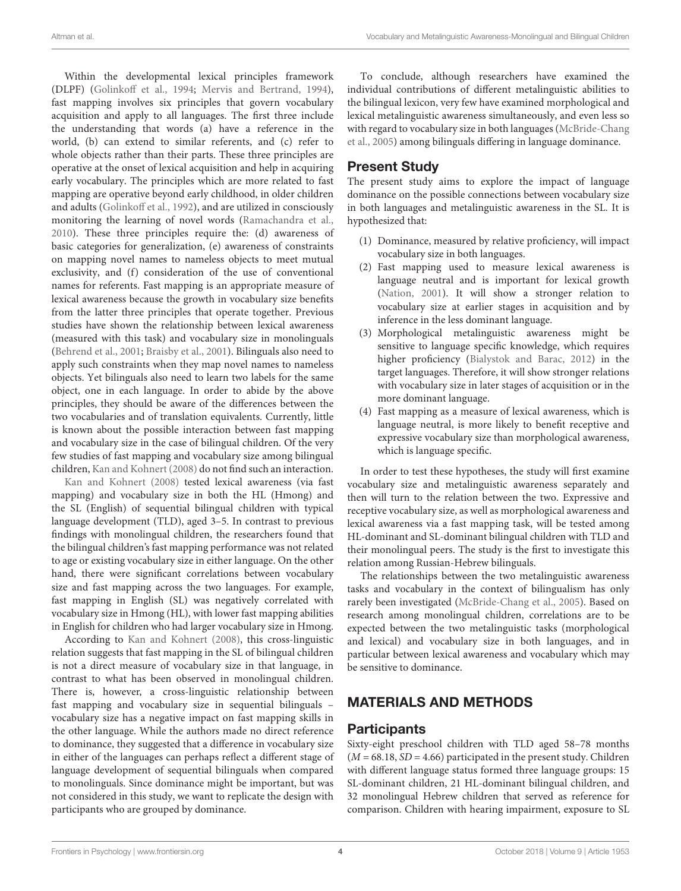Within the developmental lexical principles framework (DLPF) [\(Golinkoff et al.,](#page-14-29) [1994;](#page-14-29) [Mervis and Bertrand,](#page-14-30) [1994\)](#page-14-30), fast mapping involves six principles that govern vocabulary acquisition and apply to all languages. The first three include the understanding that words (a) have a reference in the world, (b) can extend to similar referents, and (c) refer to whole objects rather than their parts. These three principles are operative at the onset of lexical acquisition and help in acquiring early vocabulary. The principles which are more related to fast mapping are operative beyond early childhood, in older children and adults [\(Golinkoff et al.,](#page-14-31) [1992\)](#page-14-31), and are utilized in consciously monitoring the learning of novel words [\(Ramachandra et al.,](#page-15-14) [2010\)](#page-15-14). These three principles require the: (d) awareness of basic categories for generalization, (e) awareness of constraints on mapping novel names to nameless objects to meet mutual exclusivity, and (f) consideration of the use of conventional names for referents. Fast mapping is an appropriate measure of lexical awareness because the growth in vocabulary size benefits from the latter three principles that operate together. Previous studies have shown the relationship between lexical awareness (measured with this task) and vocabulary size in monolinguals [\(Behrend et al.,](#page-13-12) [2001;](#page-13-12) [Braisby et al.,](#page-13-13) [2001\)](#page-13-13). Bilinguals also need to apply such constraints when they map novel names to nameless objects. Yet bilinguals also need to learn two labels for the same object, one in each language. In order to abide by the above principles, they should be aware of the differences between the two vocabularies and of translation equivalents. Currently, little is known about the possible interaction between fast mapping and vocabulary size in the case of bilingual children. Of the very few studies of fast mapping and vocabulary size among bilingual children, [Kan and Kohnert](#page-14-32) [\(2008\)](#page-14-32) do not find such an interaction.

[Kan and Kohnert](#page-14-32) [\(2008\)](#page-14-32) tested lexical awareness (via fast mapping) and vocabulary size in both the HL (Hmong) and the SL (English) of sequential bilingual children with typical language development (TLD), aged 3–5. In contrast to previous findings with monolingual children, the researchers found that the bilingual children's fast mapping performance was not related to age or existing vocabulary size in either language. On the other hand, there were significant correlations between vocabulary size and fast mapping across the two languages. For example, fast mapping in English (SL) was negatively correlated with vocabulary size in Hmong (HL), with lower fast mapping abilities in English for children who had larger vocabulary size in Hmong.

According to [Kan and Kohnert](#page-14-32) [\(2008\)](#page-14-32), this cross-linguistic relation suggests that fast mapping in the SL of bilingual children is not a direct measure of vocabulary size in that language, in contrast to what has been observed in monolingual children. There is, however, a cross-linguistic relationship between fast mapping and vocabulary size in sequential bilinguals – vocabulary size has a negative impact on fast mapping skills in the other language. While the authors made no direct reference to dominance, they suggested that a difference in vocabulary size in either of the languages can perhaps reflect a different stage of language development of sequential bilinguals when compared to monolinguals. Since dominance might be important, but was not considered in this study, we want to replicate the design with participants who are grouped by dominance.

To conclude, although researchers have examined the individual contributions of different metalinguistic abilities to the bilingual lexicon, very few have examined morphological and lexical metalinguistic awareness simultaneously, and even less so with regard to vocabulary size in both languages [\(McBride-Chang](#page-14-13) [et al.,](#page-14-13) [2005\)](#page-14-13) among bilinguals differing in language dominance.

# Present Study

The present study aims to explore the impact of language dominance on the possible connections between vocabulary size in both languages and metalinguistic awareness in the SL. It is hypothesized that:

- (1) Dominance, measured by relative proficiency, will impact vocabulary size in both languages.
- (2) Fast mapping used to measure lexical awareness is language neutral and is important for lexical growth [\(Nation,](#page-14-33) [2001\)](#page-14-33). It will show a stronger relation to vocabulary size at earlier stages in acquisition and by inference in the less dominant language.
- (3) Morphological metalinguistic awareness might be sensitive to language specific knowledge, which requires higher proficiency [\(Bialystok and Barac,](#page-13-14) [2012\)](#page-13-14) in the target languages. Therefore, it will show stronger relations with vocabulary size in later stages of acquisition or in the more dominant language.
- (4) Fast mapping as a measure of lexical awareness, which is language neutral, is more likely to benefit receptive and expressive vocabulary size than morphological awareness, which is language specific.

In order to test these hypotheses, the study will first examine vocabulary size and metalinguistic awareness separately and then will turn to the relation between the two. Expressive and receptive vocabulary size, as well as morphological awareness and lexical awareness via a fast mapping task, will be tested among HL-dominant and SL-dominant bilingual children with TLD and their monolingual peers. The study is the first to investigate this relation among Russian-Hebrew bilinguals.

The relationships between the two metalinguistic awareness tasks and vocabulary in the context of bilingualism has only rarely been investigated [\(McBride-Chang et al.,](#page-14-13) [2005\)](#page-14-13). Based on research among monolingual children, correlations are to be expected between the two metalinguistic tasks (morphological and lexical) and vocabulary size in both languages, and in particular between lexical awareness and vocabulary which may be sensitive to dominance.

# MATERIALS AND METHODS

### **Participants**

Sixty-eight preschool children with TLD aged 58–78 months  $(M = 68.18, SD = 4.66)$  participated in the present study. Children with different language status formed three language groups: 15 SL-dominant children, 21 HL-dominant bilingual children, and 32 monolingual Hebrew children that served as reference for comparison. Children with hearing impairment, exposure to SL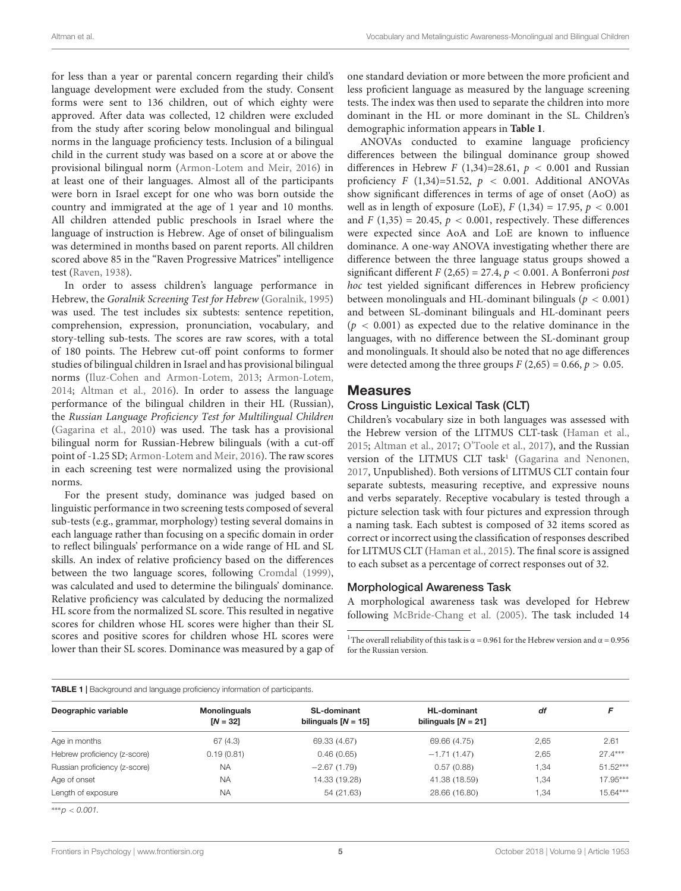for less than a year or parental concern regarding their child's language development were excluded from the study. Consent forms were sent to 136 children, out of which eighty were approved. After data was collected, 12 children were excluded from the study after scoring below monolingual and bilingual norms in the language proficiency tests. Inclusion of a bilingual child in the current study was based on a score at or above the provisional bilingual norm [\(Armon-Lotem and Meir,](#page-13-15) [2016\)](#page-13-15) in at least one of their languages. Almost all of the participants were born in Israel except for one who was born outside the country and immigrated at the age of 1 year and 10 months. All children attended public preschools in Israel where the language of instruction is Hebrew. Age of onset of bilingualism was determined in months based on parent reports. All children scored above 85 in the "Raven Progressive Matrices" intelligence test [\(Raven,](#page-15-15) [1938\)](#page-15-15).

In order to assess children's language performance in Hebrew, the Goralnik Screening Test for Hebrew [\(Goralnik,](#page-14-34) [1995\)](#page-14-34) was used. The test includes six subtests: sentence repetition, comprehension, expression, pronunciation, vocabulary, and story-telling sub-tests. The scores are raw scores, with a total of 180 points. The Hebrew cut-off point conforms to former studies of bilingual children in Israel and has provisional bilingual norms [\(Iluz-Cohen and Armon-Lotem,](#page-14-35) [2013;](#page-14-35) [Armon-Lotem,](#page-13-16) [2014;](#page-13-16) [Altman et al.,](#page-13-17) [2016\)](#page-13-17). In order to assess the language performance of the bilingual children in their HL (Russian), the Russian Language Proficiency Test for Multilingual Children [\(Gagarina et al.,](#page-14-36) [2010\)](#page-14-36) was used. The task has a provisional bilingual norm for Russian-Hebrew bilinguals (with a cut-off point of -1.25 SD; [Armon-Lotem and Meir,](#page-13-15) [2016\)](#page-13-15). The raw scores in each screening test were normalized using the provisional norms.

For the present study, dominance was judged based on linguistic performance in two screening tests composed of several sub-tests (e.g., grammar, morphology) testing several domains in each language rather than focusing on a specific domain in order to reflect bilinguals' performance on a wide range of HL and SL skills. An index of relative proficiency based on the differences between the two language scores, following [Cromdal](#page-14-37) [\(1999\)](#page-14-37), was calculated and used to determine the bilinguals' dominance. Relative proficiency was calculated by deducing the normalized HL score from the normalized SL score. This resulted in negative scores for children whose HL scores were higher than their SL scores and positive scores for children whose HL scores were lower than their SL scores. Dominance was measured by a gap of

<span id="page-4-0"></span>TABLE 1 | Background and language proficiency information of participants.

one standard deviation or more between the more proficient and less proficient language as measured by the language screening tests. The index was then used to separate the children into more dominant in the HL or more dominant in the SL. Children's demographic information appears in **[Table 1](#page-4-0)**.

ANOVAs conducted to examine language proficiency differences between the bilingual dominance group showed differences in Hebrew F (1,34)=28.61,  $p < 0.001$  and Russian proficiency  $F(1,34)=51.52$ ,  $p < 0.001$ . Additional ANOVAs show significant differences in terms of age of onset (AoO) as well as in length of exposure (LoE),  $F(1,34) = 17.95, p < 0.001$ and  $F(1,35) = 20.45$ ,  $p < 0.001$ , respectively. These differences were expected since AoA and LoE are known to influence dominance. A one-way ANOVA investigating whether there are difference between the three language status groups showed a significant different  $F(2,65) = 27.4$ ,  $p < 0.001$ . A Bonferroni post hoc test yielded significant differences in Hebrew proficiency between monolinguals and HL-dominant bilinguals ( $p < 0.001$ ) and between SL-dominant bilinguals and HL-dominant peers  $(p < 0.001)$  as expected due to the relative dominance in the languages, with no difference between the SL-dominant group and monolinguals. It should also be noted that no age differences were detected among the three groups  $F(2,65) = 0.66, p > 0.05$ .

### Measures

### Cross Linguistic Lexical Task (CLT)

Children's vocabulary size in both languages was assessed with the Hebrew version of the LITMUS CLT-task [\(Haman et al.,](#page-14-38) [2015;](#page-14-38) [Altman et al.,](#page-13-18) [2017;](#page-13-18) [O'Toole et al.,](#page-15-7) [2017\)](#page-15-7), and the Russian version of the LITMUS CLT task<sup>[1](#page-4-1)</sup> [\(Gagarina and Nenonen,](#page-14-39) [2017,](#page-14-39) Unpublished). Both versions of LITMUS CLT contain four separate subtests, measuring receptive, and expressive nouns and verbs separately. Receptive vocabulary is tested through a picture selection task with four pictures and expression through a naming task. Each subtest is composed of 32 items scored as correct or incorrect using the classification of responses described for LITMUS CLT [\(Haman et al.,](#page-14-38) [2015\)](#page-14-38). The final score is assigned to each subset as a percentage of correct responses out of 32.

### Morphological Awareness Task

A morphological awareness task was developed for Hebrew following [McBride-Chang et al.](#page-14-13) [\(2005\)](#page-14-13). The task included 14

<span id="page-4-1"></span><sup>&</sup>lt;sup>1</sup>The overall reliability of this task is  $\alpha$  = 0.961 for the Hebrew version and  $\alpha$  = 0.956 for the Russian version.

| Deographic variable           | <b>Monolinguals</b><br>$IN = 321$ | SL-dominant<br>bilinguals $[N = 15]$ | <b>HL-dominant</b><br>bilinguals $[N = 21]$ | df   |            |
|-------------------------------|-----------------------------------|--------------------------------------|---------------------------------------------|------|------------|
| Age in months                 | 67(4.3)                           | 69.33 (4.67)                         | 69.66 (4.75)                                | 2,65 | 2.61       |
| Hebrew proficiency (z-score)  | 0.19(0.81)                        | 0.46(0.65)                           | $-1.71(1.47)$                               | 2,65 | $27.4***$  |
| Russian proficiency (z-score) | <b>NA</b>                         | $-2.67(1.79)$                        | 0.57(0.88)                                  | 1,34 | $51.52***$ |
| Age of onset                  | <b>NA</b>                         | 14.33 (19.28)                        | 41.38 (18.59)                               | 1,34 | $17.95***$ |
| Length of exposure            | <b>NA</b>                         | 54 (21.63)                           | 28.66 (16.80)                               | 1,34 | $15.64***$ |

∗∗∗p < 0.001.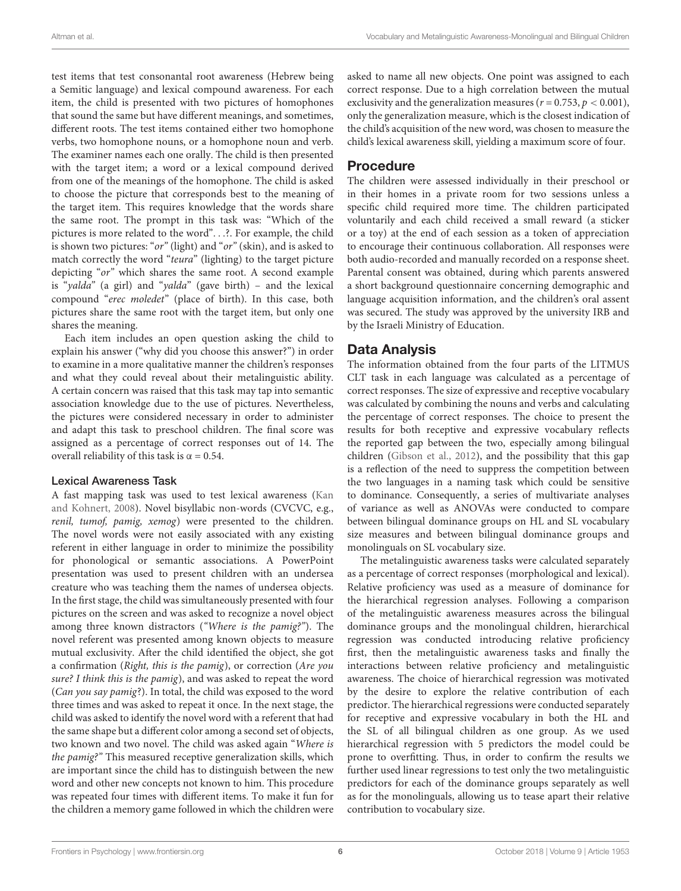test items that test consonantal root awareness (Hebrew being a Semitic language) and lexical compound awareness. For each item, the child is presented with two pictures of homophones that sound the same but have different meanings, and sometimes, different roots. The test items contained either two homophone verbs, two homophone nouns, or a homophone noun and verb. The examiner names each one orally. The child is then presented with the target item; a word or a lexical compound derived from one of the meanings of the homophone. The child is asked to choose the picture that corresponds best to the meaning of the target item. This requires knowledge that the words share the same root. The prompt in this task was: "Which of the pictures is more related to the word". . .?. For example, the child is shown two pictures: "or" (light) and "or" (skin), and is asked to match correctly the word "teura" (lighting) to the target picture depicting "or" which shares the same root. A second example is "yalda" (a girl) and "yalda" (gave birth) – and the lexical compound "erec moledet" (place of birth). In this case, both pictures share the same root with the target item, but only one shares the meaning.

Each item includes an open question asking the child to explain his answer ("why did you choose this answer?") in order to examine in a more qualitative manner the children's responses and what they could reveal about their metalinguistic ability. A certain concern was raised that this task may tap into semantic association knowledge due to the use of pictures. Nevertheless, the pictures were considered necessary in order to administer and adapt this task to preschool children. The final score was assigned as a percentage of correct responses out of 14. The overall reliability of this task is  $\alpha = 0.54$ .

### Lexical Awareness Task

A fast mapping task was used to test lexical awareness [\(Kan](#page-14-32) [and Kohnert,](#page-14-32) [2008\)](#page-14-32). Novel bisyllabic non-words (CVCVC, e.g., renil, tumof, pamig, xemog) were presented to the children. The novel words were not easily associated with any existing referent in either language in order to minimize the possibility for phonological or semantic associations. A PowerPoint presentation was used to present children with an undersea creature who was teaching them the names of undersea objects. In the first stage, the child was simultaneously presented with four pictures on the screen and was asked to recognize a novel object among three known distractors ("Where is the pamig?"). The novel referent was presented among known objects to measure mutual exclusivity. After the child identified the object, she got a confirmation (Right, this is the pamig), or correction (Are you sure? I think this is the pamig), and was asked to repeat the word (Can you say pamig?). In total, the child was exposed to the word three times and was asked to repeat it once. In the next stage, the child was asked to identify the novel word with a referent that had the same shape but a different color among a second set of objects, two known and two novel. The child was asked again "Where is the pamig?" This measured receptive generalization skills, which are important since the child has to distinguish between the new word and other new concepts not known to him. This procedure was repeated four times with different items. To make it fun for the children a memory game followed in which the children were asked to name all new objects. One point was assigned to each correct response. Due to a high correlation between the mutual exclusivity and the generalization measures ( $r = 0.753$ ,  $p < 0.001$ ), only the generalization measure, which is the closest indication of the child's acquisition of the new word, was chosen to measure the child's lexical awareness skill, yielding a maximum score of four.

# Procedure

The children were assessed individually in their preschool or in their homes in a private room for two sessions unless a specific child required more time. The children participated voluntarily and each child received a small reward (a sticker or a toy) at the end of each session as a token of appreciation to encourage their continuous collaboration. All responses were both audio-recorded and manually recorded on a response sheet. Parental consent was obtained, during which parents answered a short background questionnaire concerning demographic and language acquisition information, and the children's oral assent was secured. The study was approved by the university IRB and by the Israeli Ministry of Education.

# Data Analysis

The information obtained from the four parts of the LITMUS CLT task in each language was calculated as a percentage of correct responses. The size of expressive and receptive vocabulary was calculated by combining the nouns and verbs and calculating the percentage of correct responses. The choice to present the results for both receptive and expressive vocabulary reflects the reported gap between the two, especially among bilingual children [\(Gibson et al.,](#page-14-2) [2012\)](#page-14-2), and the possibility that this gap is a reflection of the need to suppress the competition between the two languages in a naming task which could be sensitive to dominance. Consequently, a series of multivariate analyses of variance as well as ANOVAs were conducted to compare between bilingual dominance groups on HL and SL vocabulary size measures and between bilingual dominance groups and monolinguals on SL vocabulary size.

The metalinguistic awareness tasks were calculated separately as a percentage of correct responses (morphological and lexical). Relative proficiency was used as a measure of dominance for the hierarchical regression analyses. Following a comparison of the metalinguistic awareness measures across the bilingual dominance groups and the monolingual children, hierarchical regression was conducted introducing relative proficiency first, then the metalinguistic awareness tasks and finally the interactions between relative proficiency and metalinguistic awareness. The choice of hierarchical regression was motivated by the desire to explore the relative contribution of each predictor. The hierarchical regressions were conducted separately for receptive and expressive vocabulary in both the HL and the SL of all bilingual children as one group. As we used hierarchical regression with 5 predictors the model could be prone to overfitting. Thus, in order to confirm the results we further used linear regressions to test only the two metalinguistic predictors for each of the dominance groups separately as well as for the monolinguals, allowing us to tease apart their relative contribution to vocabulary size.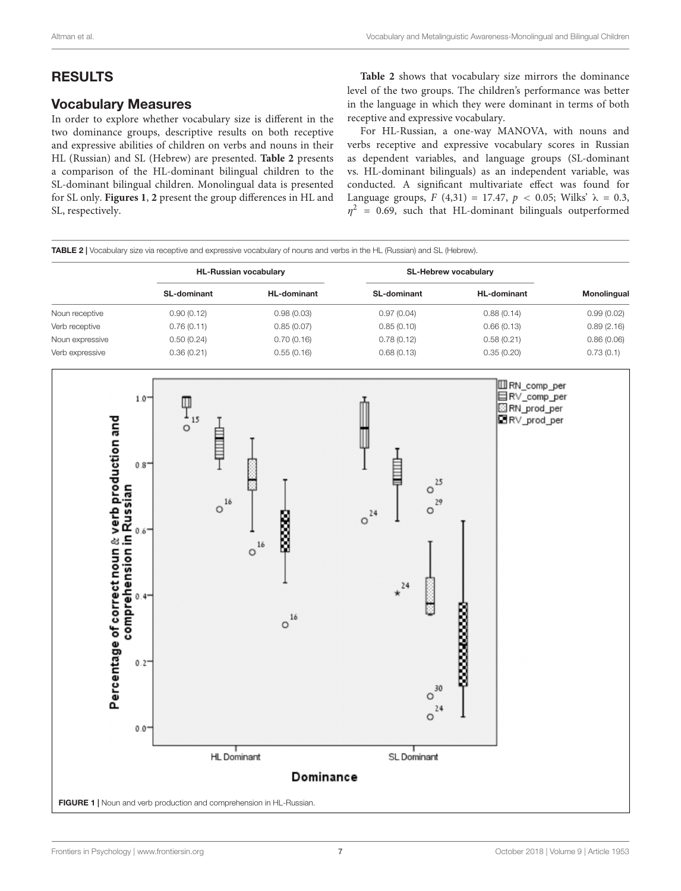# **RESULTS**

# Vocabulary Measures

In order to explore whether vocabulary size is different in the two dominance groups, descriptive results on both receptive and expressive abilities of children on verbs and nouns in their HL (Russian) and SL (Hebrew) are presented. **[Table 2](#page-6-0)** presents a comparison of the HL-dominant bilingual children to the SL-dominant bilingual children. Monolingual data is presented for SL only. **[Figures 1](#page-6-1)**, **[2](#page-7-0)** present the group differences in HL and SL, respectively.

**[Table 2](#page-6-0)** shows that vocabulary size mirrors the dominance level of the two groups. The children's performance was better in the language in which they were dominant in terms of both receptive and expressive vocabulary.

For HL-Russian, a one-way MANOVA, with nouns and verbs receptive and expressive vocabulary scores in Russian as dependent variables, and language groups (SL-dominant vs. HL-dominant bilinguals) as an independent variable, was conducted. A significant multivariate effect was found for Language groups,  $F(4,31) = 17.47$ ,  $p < 0.05$ ; Wilks'  $\lambda = 0.3$ ,  $\eta^2$  = 0.69, such that HL-dominant bilinguals outperformed

<span id="page-6-1"></span><span id="page-6-0"></span>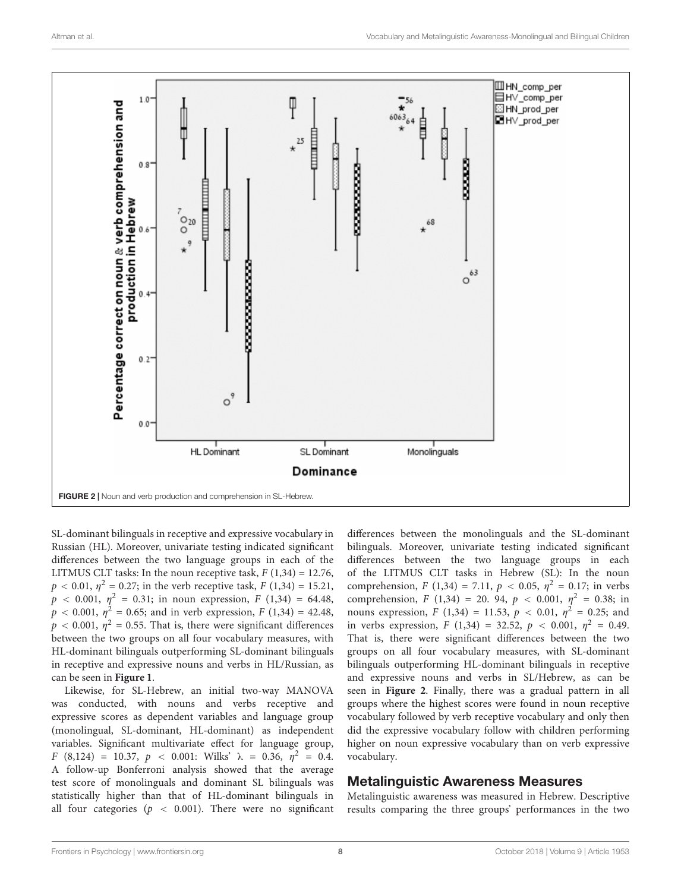

<span id="page-7-0"></span>SL-dominant bilinguals in receptive and expressive vocabulary in Russian (HL). Moreover, univariate testing indicated significant differences between the two language groups in each of the LITMUS CLT tasks: In the noun receptive task,  $F(1,34) = 12.76$ ,  $p < 0.01$ ,  $\eta^2 = 0.27$ ; in the verb receptive task,  $F(1,34) = 15.21$ ,  $p < 0.001$ ,  $\eta^2 = 0.31$ ; in noun expression,  $F(1,34) = 64.48$ ,  $p < 0.001$ ,  $\eta^2 = 0.65$ ; and in verb expression,  $F(1,34) = 42.48$ ,  $p < 0.001$ ,  $\eta^2 = 0.55$ . That is, there were significant differences between the two groups on all four vocabulary measures, with HL-dominant bilinguals outperforming SL-dominant bilinguals in receptive and expressive nouns and verbs in HL/Russian, as can be seen in **[Figure 1](#page-6-1)**.

Likewise, for SL-Hebrew, an initial two-way MANOVA was conducted, with nouns and verbs receptive and expressive scores as dependent variables and language group (monolingual, SL-dominant, HL-dominant) as independent variables. Significant multivariate effect for language group,  $F (8,124) = 10.37, p < 0.001$ : Wilks'  $\lambda = 0.36, \eta^2 = 0.4$ . A follow-up Bonferroni analysis showed that the average test score of monolinguals and dominant SL bilinguals was statistically higher than that of HL-dominant bilinguals in all four categories ( $p < 0.001$ ). There were no significant

differences between the monolinguals and the SL-dominant bilinguals. Moreover, univariate testing indicated significant differences between the two language groups in each of the LITMUS CLT tasks in Hebrew (SL): In the noun comprehension,  $F(1,34) = 7.11$ ,  $p < 0.05$ ,  $\eta^2 = 0.17$ ; in verbs comprehension,  $F(1,34) = 20.94$ ,  $p < 0.001$ ,  $\eta^2 = 0.38$ ; in nouns expression,  $F(1,34) = 11.53$ ,  $p < 0.01$ ,  $\eta^2 = 0.25$ ; and in verbs expression,  $F(1,34) = 32.52, p < 0.001, \eta^2 = 0.49$ . That is, there were significant differences between the two groups on all four vocabulary measures, with SL-dominant bilinguals outperforming HL-dominant bilinguals in receptive and expressive nouns and verbs in SL/Hebrew, as can be seen in **[Figure 2](#page-7-0)**. Finally, there was a gradual pattern in all groups where the highest scores were found in noun receptive vocabulary followed by verb receptive vocabulary and only then did the expressive vocabulary follow with children performing higher on noun expressive vocabulary than on verb expressive vocabulary.

### Metalinguistic Awareness Measures

Metalinguistic awareness was measured in Hebrew. Descriptive results comparing the three groups' performances in the two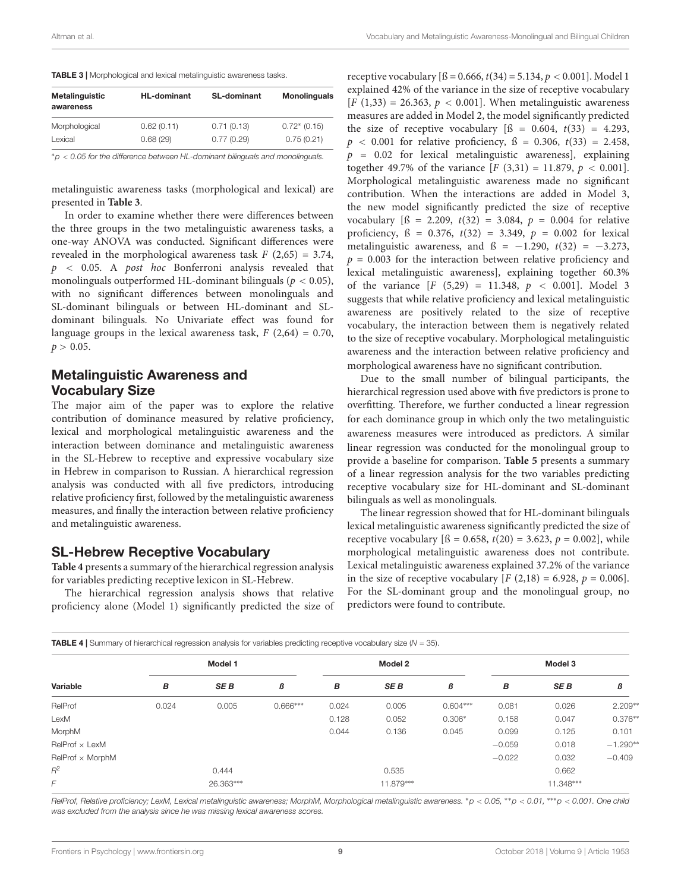<span id="page-8-0"></span>

| Metalinguistic<br>awareness | <b>HL-dominant</b> | <b>SL-dominant</b> | <b>Monolinguals</b> |
|-----------------------------|--------------------|--------------------|---------------------|
| Morphological               | 0.62(0.11)         | 0.71(0.13)         | $0.72* (0.15)$      |
| Lexical                     | 0.68(29)           | 0.77(0.29)         | 0.75(0.21)          |

<sup>∗</sup>p < 0.05 for the difference between HL-dominant bilinguals and monolinguals.

metalinguistic awareness tasks (morphological and lexical) are presented in **[Table 3](#page-8-0)**.

In order to examine whether there were differences between the three groups in the two metalinguistic awareness tasks, a one-way ANOVA was conducted. Significant differences were revealed in the morphological awareness task  $F(2,65) = 3.74$ ,  $p \sim 0.05$ . A *post hoc* Bonferroni analysis revealed that monolinguals outperformed HL-dominant bilinguals ( $p < 0.05$ ), with no significant differences between monolinguals and SL-dominant bilinguals or between HL-dominant and SLdominant bilinguals. No Univariate effect was found for language groups in the lexical awareness task,  $F(2,64) = 0.70$ ,  $p > 0.05$ .

### Metalinguistic Awareness and Vocabulary Size

The major aim of the paper was to explore the relative contribution of dominance measured by relative proficiency, lexical and morphological metalinguistic awareness and the interaction between dominance and metalinguistic awareness in the SL-Hebrew to receptive and expressive vocabulary size in Hebrew in comparison to Russian. A hierarchical regression analysis was conducted with all five predictors, introducing relative proficiency first, followed by the metalinguistic awareness measures, and finally the interaction between relative proficiency and metalinguistic awareness.

# SL-Hebrew Receptive Vocabulary

**[Table 4](#page-8-1)** presents a summary of the hierarchical regression analysis for variables predicting receptive lexicon in SL-Hebrew.

The hierarchical regression analysis shows that relative proficiency alone (Model 1) significantly predicted the size of

TABLE 4 | Summary of hierarchical regression analysis for variables predicting receptive vocabulary size (N = 35).

receptive vocabulary  $[6 = 0.666, t(34) = 5.134, p < 0.001]$ . Model 1 explained 42% of the variance in the size of receptive vocabulary  $[F (1,33) = 26.363, p < 0.001]$ . When metalinguistic awareness measures are added in Model 2, the model significantly predicted the size of receptive vocabulary  $[ $\beta$  = 0.604, t(33) = 4.293,$  $p \le 0.001$  for relative proficiency,  $\beta = 0.306, t(33) = 2.458$ ,  $p = 0.02$  for lexical metalinguistic awareness], explaining together 49.7% of the variance  $[F (3,31) = 11.879, p < 0.001]$ . Morphological metalinguistic awareness made no significant contribution. When the interactions are added in Model 3, the new model significantly predicted the size of receptive vocabulary  $[6] = 2.209$ ,  $t(32) = 3.084$ ,  $p = 0.004$  for relative proficiency,  $\beta = 0.376$ ,  $t(32) = 3.349$ ,  $p = 0.002$  for lexical metalinguistic awareness, and  $\beta = -1.290, t(32) = -3.273,$  $p = 0.003$  for the interaction between relative proficiency and lexical metalinguistic awareness], explaining together 60.3% of the variance  $[F (5,29) = 11.348, p < 0.001]$ . Model 3 suggests that while relative proficiency and lexical metalinguistic awareness are positively related to the size of receptive vocabulary, the interaction between them is negatively related to the size of receptive vocabulary. Morphological metalinguistic awareness and the interaction between relative proficiency and morphological awareness have no significant contribution.

Due to the small number of bilingual participants, the hierarchical regression used above with five predictors is prone to overfitting. Therefore, we further conducted a linear regression for each dominance group in which only the two metalinguistic awareness measures were introduced as predictors. A similar linear regression was conducted for the monolingual group to provide a baseline for comparison. **[Table 5](#page-9-0)** presents a summary of a linear regression analysis for the two variables predicting receptive vocabulary size for HL-dominant and SL-dominant bilinguals as well as monolinguals.

The linear regression showed that for HL-dominant bilinguals lexical metalinguistic awareness significantly predicted the size of receptive vocabulary  $[6 = 0.658, t(20) = 3.623, p = 0.002]$ , while morphological metalinguistic awareness does not contribute. Lexical metalinguistic awareness explained 37.2% of the variance in the size of receptive vocabulary  $[F (2,18) = 6.928, p = 0.006]$ . For the SL-dominant group and the monolingual group, no predictors were found to contribute.

<span id="page-8-1"></span>

| Variable                | <b>IADLE 4</b>   Surfirmary of Hierarchical regression analysis for variables predicting receptive vocabulary size (iv = 30).<br>Model 1 |            |            | Model 2 |                 |            | Model 3  |            |            |
|-------------------------|------------------------------------------------------------------------------------------------------------------------------------------|------------|------------|---------|-----------------|------------|----------|------------|------------|
|                         | в                                                                                                                                        | <b>SEB</b> | ß          | B       | SE <sub>B</sub> | ß          | В        | <b>SEB</b> | ß          |
| RelProf                 | 0.024                                                                                                                                    | 0.005      | $0.666***$ | 0.024   | 0.005           | $0.604***$ | 0.081    | 0.026      | $2.209**$  |
| LexM                    |                                                                                                                                          |            |            | 0.128   | 0.052           | $0.306*$   | 0.158    | 0.047      | $0.376**$  |
| MorphM                  |                                                                                                                                          |            |            | 0.044   | 0.136           | 0.045      | 0.099    | 0.125      | 0.101      |
| $Re$ Prof $\times$ LexM |                                                                                                                                          |            |            |         |                 |            | $-0.059$ | 0.018      | $-1.290**$ |
| $RelProt \times MorphM$ |                                                                                                                                          |            |            |         |                 |            | $-0.022$ | 0.032      | $-0.409$   |
| $R^2$                   |                                                                                                                                          | 0.444      |            |         | 0.535           |            |          | 0.662      |            |
| F                       |                                                                                                                                          | 26.363***  |            |         | 11.879***       |            |          | 11.348***  |            |

RelProf, Relative proficiency; LexM, Lexical metalinguistic awareness; MorphM, Morphological metalinguistic awareness. \*p < 0.05, \*\*p < 0.01, \*\*\*p < 0.001. One child was excluded from the analysis since he was missing lexical awareness scores.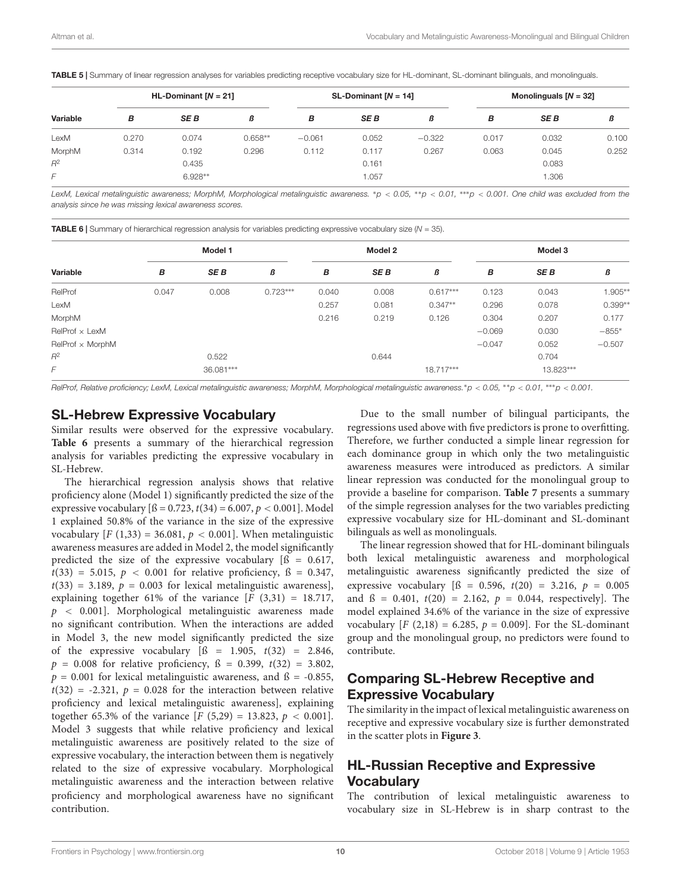<span id="page-9-0"></span>TABLE 5 | Summary of linear regression analyses for variables predicting receptive vocabulary size for HL-dominant, SL-dominant bilinguals, and monolinguals.

| Variable | HL-Dominant $N = 21$ |            |           |          | SL-Dominant $[N = 14]$ |          | Monolinguals $[N = 32]$ |            |       |
|----------|----------------------|------------|-----------|----------|------------------------|----------|-------------------------|------------|-------|
|          | B                    | <b>SEB</b> | ß         | В        | <b>SEB</b>             | ß        | в                       | <b>SEB</b> | ß     |
| LexM     | 0.270                | 0.074      | $0.658**$ | $-0.061$ | 0.052                  | $-0.322$ | 0.017                   | 0.032      | 0.100 |
| MorphM   | 0.314                | 0.192      | 0.296     | 0.112    | 0.117                  | 0.267    | 0.063                   | 0.045      | 0.252 |
| $R^2$    |                      | 0.435      |           |          | 0.161                  |          |                         | 0.083      |       |
| F        |                      | $6.928**$  |           |          | .057                   |          |                         | 1.306      |       |

LexM, Lexical metalinguistic awareness; MorphM, Morphological metalinguistic awareness. \*p < 0.05, \*\*p < 0.01, \*\*\*p < 0.001. One child was excluded from the analysis since he was missing lexical awareness scores.

<span id="page-9-1"></span>**TABLE 6** | Summary of hierarchical regression analysis for variables predicting expressive vocabulary size  $(N = 35)$ .

| Variable                  | Model 1 |            |            | Model 2 |            |            | Model 3  |            |           |
|---------------------------|---------|------------|------------|---------|------------|------------|----------|------------|-----------|
|                           | В       | <b>SEB</b> | ß          | в       | <b>SEB</b> | ß          | В        | <b>SEB</b> | ß         |
| RelProf                   | 0.047   | 0.008      | $0.723***$ | 0.040   | 0.008      | $0.617***$ | 0.123    | 0.043      | 1.905**   |
| LexM                      |         |            |            | 0.257   | 0.081      | $0.347**$  | 0.296    | 0.078      | $0.399**$ |
| MorphM                    |         |            |            | 0.216   | 0.219      | 0.126      | 0.304    | 0.207      | 0.177     |
| RelProf x LexM            |         |            |            |         |            |            | $-0.069$ | 0.030      | $-855*$   |
| $Re$ Prof $\times$ MorphM |         |            |            |         |            |            | $-0.047$ | 0.052      | $-0.507$  |
| $R^2$                     |         | 0.522      |            |         | 0.644      |            |          | 0.704      |           |
| F                         |         | 36.081***  |            |         |            | 18.717***  |          | 13.823 *** |           |

RelProf, Relative proficiency; LexM, Lexical metalinguistic awareness; MorphM, Morphological metalinguistic awareness.\*p < 0.05, \*\*p < 0.01, \*\*\*p < 0.001.

### SL-Hebrew Expressive Vocabulary

Similar results were observed for the expressive vocabulary. **[Table 6](#page-9-1)** presents a summary of the hierarchical regression analysis for variables predicting the expressive vocabulary in SL-Hebrew.

The hierarchical regression analysis shows that relative proficiency alone (Model 1) significantly predicted the size of the expressive vocabulary  $[6 = 0.723, t(34) = 6.007, p < 0.001]$ . Model 1 explained 50.8% of the variance in the size of the expressive vocabulary  $[F(1,33) = 36.081, p < 0.001]$ . When metalinguistic awareness measures are added in Model 2, the model significantly predicted the size of the expressive vocabulary  $[**ß** = 0.617,$  $t(33) = 5.015, p < 0.001$  for relative proficiency,  $\beta = 0.347$ ,  $t(33) = 3.189$ ,  $p = 0.003$  for lexical metalinguistic awareness], explaining together 61% of the variance  $[F (3,31) = 18.717,$  $p < 0.001$ ]. Morphological metalinguistic awareness made no significant contribution. When the interactions are added in Model 3, the new model significantly predicted the size of the expressive vocabulary  $\begin{bmatrix} 6 = 1.905, t(32) = 2.846, \end{bmatrix}$  $p = 0.008$  for relative proficiency,  $\beta = 0.399, t(32) = 3.802$ ,  $p = 0.001$  for lexical metalinguistic awareness, and  $\beta = -0.855$ ,  $t(32) = -2.321$ ,  $p = 0.028$  for the interaction between relative proficiency and lexical metalinguistic awareness], explaining together 65.3% of the variance  $[F (5,29) = 13.823, p < 0.001]$ . Model 3 suggests that while relative proficiency and lexical metalinguistic awareness are positively related to the size of expressive vocabulary, the interaction between them is negatively related to the size of expressive vocabulary. Morphological metalinguistic awareness and the interaction between relative proficiency and morphological awareness have no significant contribution.

Due to the small number of bilingual participants, the regressions used above with five predictors is prone to overfitting. Therefore, we further conducted a simple linear regression for each dominance group in which only the two metalinguistic awareness measures were introduced as predictors. A similar linear repression was conducted for the monolingual group to provide a baseline for comparison. **[Table 7](#page-10-0)** presents a summary of the simple regression analyses for the two variables predicting expressive vocabulary size for HL-dominant and SL-dominant bilinguals as well as monolinguals.

The linear regression showed that for HL-dominant bilinguals both lexical metalinguistic awareness and morphological metalinguistic awareness significantly predicted the size of expressive vocabulary  $\left[ \beta = 0.596, t(20) = 3.216, p = 0.005 \right]$ and  $\beta = 0.401$ ,  $t(20) = 2.162$ ,  $p = 0.044$ , respectively]. The model explained 34.6% of the variance in the size of expressive vocabulary  $[F (2,18) = 6.285, p = 0.009]$ . For the SL-dominant group and the monolingual group, no predictors were found to contribute.

# Comparing SL-Hebrew Receptive and Expressive Vocabulary

The similarity in the impact of lexical metalinguistic awareness on receptive and expressive vocabulary size is further demonstrated in the scatter plots in **[Figure 3](#page-10-1)**.

# HL-Russian Receptive and Expressive **Vocabulary**

The contribution of lexical metalinguistic awareness to vocabulary size in SL-Hebrew is in sharp contrast to the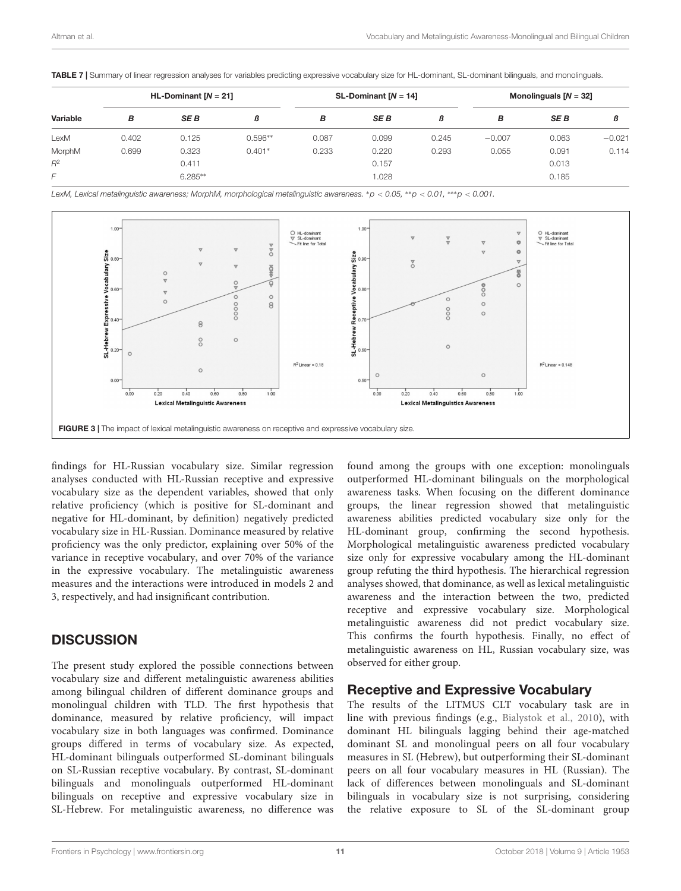<span id="page-10-0"></span>TABLE 7 | Summary of linear regression analyses for variables predicting expressive vocabulary size for HL-dominant, SL-dominant bilinguals, and monolinguals.

| Variable | HL-Dominant $N = 21$ ] |            |           | SL-Dominant $[N = 14]$ |            |       | Monolinguals $[N = 32]$ |            |          |
|----------|------------------------|------------|-----------|------------------------|------------|-------|-------------------------|------------|----------|
|          | в                      | <b>SEB</b> | ß         | в                      | <b>SEB</b> | ß     | в                       | <b>SEB</b> | ß        |
| LexM     | 0.402                  | 0.125      | $0.596**$ | 0.087                  | 0.099      | 0.245 | $-0.007$                | 0.063      | $-0.021$ |
| MorphM   | 0.699                  | 0.323      | $0.401*$  | 0.233                  | 0.220      | 0.293 | 0.055                   | 0.091      | 0.114    |
| $R^2$    |                        | 0.411      |           |                        | 0.157      |       |                         | 0.013      |          |
| F        |                        | $6.285**$  |           |                        | .028       |       |                         | 0.185      |          |

LexM, Lexical metalinguistic awareness; MorphM, morphological metalinguistic awareness. <sup>∗</sup>p < 0.05, ∗∗p < 0.01, ∗∗∗p < 0.001.



<span id="page-10-1"></span>findings for HL-Russian vocabulary size. Similar regression analyses conducted with HL-Russian receptive and expressive vocabulary size as the dependent variables, showed that only relative proficiency (which is positive for SL-dominant and negative for HL-dominant, by definition) negatively predicted vocabulary size in HL-Russian. Dominance measured by relative proficiency was the only predictor, explaining over 50% of the variance in receptive vocabulary, and over 70% of the variance in the expressive vocabulary. The metalinguistic awareness measures and the interactions were introduced in models 2 and 3, respectively, and had insignificant contribution.

### **DISCUSSION**

The present study explored the possible connections between vocabulary size and different metalinguistic awareness abilities among bilingual children of different dominance groups and monolingual children with TLD. The first hypothesis that dominance, measured by relative proficiency, will impact vocabulary size in both languages was confirmed. Dominance groups differed in terms of vocabulary size. As expected, HL-dominant bilinguals outperformed SL-dominant bilinguals on SL-Russian receptive vocabulary. By contrast, SL-dominant bilinguals and monolinguals outperformed HL-dominant bilinguals on receptive and expressive vocabulary size in SL-Hebrew. For metalinguistic awareness, no difference was

found among the groups with one exception: monolinguals outperformed HL-dominant bilinguals on the morphological awareness tasks. When focusing on the different dominance groups, the linear regression showed that metalinguistic awareness abilities predicted vocabulary size only for the HL-dominant group, confirming the second hypothesis. Morphological metalinguistic awareness predicted vocabulary size only for expressive vocabulary among the HL-dominant group refuting the third hypothesis. The hierarchical regression analyses showed, that dominance, as well as lexical metalinguistic awareness and the interaction between the two, predicted receptive and expressive vocabulary size. Morphological metalinguistic awareness did not predict vocabulary size. This confirms the fourth hypothesis. Finally, no effect of metalinguistic awareness on HL, Russian vocabulary size, was observed for either group.

### Receptive and Expressive Vocabulary

The results of the LITMUS CLT vocabulary task are in line with previous findings (e.g., [Bialystok et al.,](#page-13-0) [2010\)](#page-13-0), with dominant HL bilinguals lagging behind their age-matched dominant SL and monolingual peers on all four vocabulary measures in SL (Hebrew), but outperforming their SL-dominant peers on all four vocabulary measures in HL (Russian). The lack of differences between monolinguals and SL-dominant bilinguals in vocabulary size is not surprising, considering the relative exposure to SL of the SL-dominant group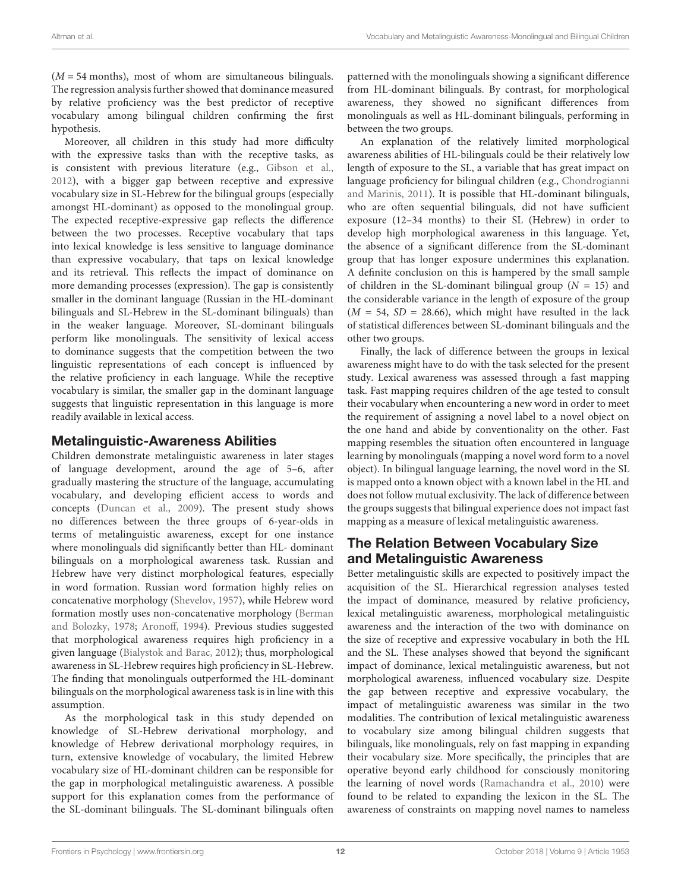$(M = 54$  months), most of whom are simultaneous bilinguals. The regression analysis further showed that dominance measured by relative proficiency was the best predictor of receptive vocabulary among bilingual children confirming the first hypothesis.

Moreover, all children in this study had more difficulty with the expressive tasks than with the receptive tasks, as is consistent with previous literature (e.g., [Gibson et al.,](#page-14-2) [2012\)](#page-14-2), with a bigger gap between receptive and expressive vocabulary size in SL-Hebrew for the bilingual groups (especially amongst HL-dominant) as opposed to the monolingual group. The expected receptive-expressive gap reflects the difference between the two processes. Receptive vocabulary that taps into lexical knowledge is less sensitive to language dominance than expressive vocabulary, that taps on lexical knowledge and its retrieval. This reflects the impact of dominance on more demanding processes (expression). The gap is consistently smaller in the dominant language (Russian in the HL-dominant bilinguals and SL-Hebrew in the SL-dominant bilinguals) than in the weaker language. Moreover, SL-dominant bilinguals perform like monolinguals. The sensitivity of lexical access to dominance suggests that the competition between the two linguistic representations of each concept is influenced by the relative proficiency in each language. While the receptive vocabulary is similar, the smaller gap in the dominant language suggests that linguistic representation in this language is more readily available in lexical access.

# Metalinguistic-Awareness Abilities

Children demonstrate metalinguistic awareness in later stages of language development, around the age of 5–6, after gradually mastering the structure of the language, accumulating vocabulary, and developing efficient access to words and concepts [\(Duncan et al.,](#page-14-11) [2009\)](#page-14-11). The present study shows no differences between the three groups of 6-year-olds in terms of metalinguistic awareness, except for one instance where monolinguals did significantly better than HL- dominant bilinguals on a morphological awareness task. Russian and Hebrew have very distinct morphological features, especially in word formation. Russian word formation highly relies on concatenative morphology [\(Shevelov,](#page-15-16) [1957\)](#page-15-16), while Hebrew word formation mostly uses non-concatenative morphology [\(Berman](#page-13-19) [and Bolozky,](#page-13-19) [1978;](#page-13-19) [Aronoff,](#page-13-20) [1994\)](#page-13-20). Previous studies suggested that morphological awareness requires high proficiency in a given language [\(Bialystok and Barac,](#page-13-14) [2012\)](#page-13-14); thus, morphological awareness in SL-Hebrew requires high proficiency in SL-Hebrew. The finding that monolinguals outperformed the HL-dominant bilinguals on the morphological awareness task is in line with this assumption.

As the morphological task in this study depended on knowledge of SL-Hebrew derivational morphology, and knowledge of Hebrew derivational morphology requires, in turn, extensive knowledge of vocabulary, the limited Hebrew vocabulary size of HL-dominant children can be responsible for the gap in morphological metalinguistic awareness. A possible support for this explanation comes from the performance of the SL-dominant bilinguals. The SL-dominant bilinguals often

patterned with the monolinguals showing a significant difference from HL-dominant bilinguals. By contrast, for morphological awareness, they showed no significant differences from monolinguals as well as HL-dominant bilinguals, performing in between the two groups.

An explanation of the relatively limited morphological awareness abilities of HL-bilinguals could be their relatively low length of exposure to the SL, a variable that has great impact on language proficiency for bilingual children (e.g., [Chondrogianni](#page-14-40) [and Marinis,](#page-14-40) [2011\)](#page-14-40). It is possible that HL-dominant bilinguals, who are often sequential bilinguals, did not have sufficient exposure (12–34 months) to their SL (Hebrew) in order to develop high morphological awareness in this language. Yet, the absence of a significant difference from the SL-dominant group that has longer exposure undermines this explanation. A definite conclusion on this is hampered by the small sample of children in the SL-dominant bilingual group ( $N = 15$ ) and the considerable variance in the length of exposure of the group  $(M = 54, SD = 28.66)$ , which might have resulted in the lack of statistical differences between SL-dominant bilinguals and the other two groups.

Finally, the lack of difference between the groups in lexical awareness might have to do with the task selected for the present study. Lexical awareness was assessed through a fast mapping task. Fast mapping requires children of the age tested to consult their vocabulary when encountering a new word in order to meet the requirement of assigning a novel label to a novel object on the one hand and abide by conventionality on the other. Fast mapping resembles the situation often encountered in language learning by monolinguals (mapping a novel word form to a novel object). In bilingual language learning, the novel word in the SL is mapped onto a known object with a known label in the HL and does not follow mutual exclusivity. The lack of difference between the groups suggests that bilingual experience does not impact fast mapping as a measure of lexical metalinguistic awareness.

# The Relation Between Vocabulary Size and Metalinguistic Awareness

Better metalinguistic skills are expected to positively impact the acquisition of the SL. Hierarchical regression analyses tested the impact of dominance, measured by relative proficiency, lexical metalinguistic awareness, morphological metalinguistic awareness and the interaction of the two with dominance on the size of receptive and expressive vocabulary in both the HL and the SL. These analyses showed that beyond the significant impact of dominance, lexical metalinguistic awareness, but not morphological awareness, influenced vocabulary size. Despite the gap between receptive and expressive vocabulary, the impact of metalinguistic awareness was similar in the two modalities. The contribution of lexical metalinguistic awareness to vocabulary size among bilingual children suggests that bilinguals, like monolinguals, rely on fast mapping in expanding their vocabulary size. More specifically, the principles that are operative beyond early childhood for consciously monitoring the learning of novel words [\(Ramachandra et al.,](#page-15-14) [2010\)](#page-15-14) were found to be related to expanding the lexicon in the SL. The awareness of constraints on mapping novel names to nameless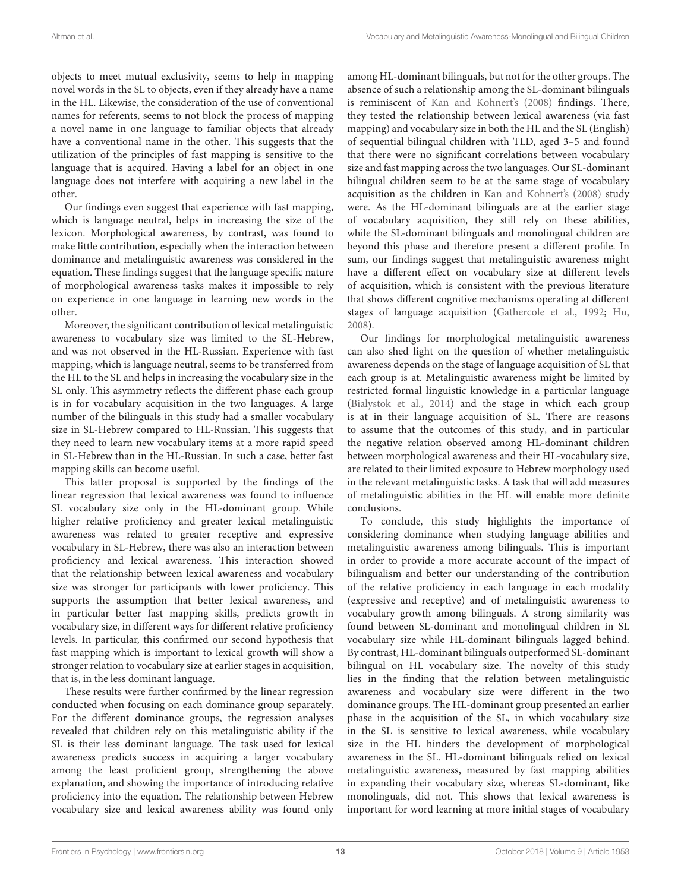objects to meet mutual exclusivity, seems to help in mapping novel words in the SL to objects, even if they already have a name in the HL. Likewise, the consideration of the use of conventional names for referents, seems to not block the process of mapping a novel name in one language to familiar objects that already have a conventional name in the other. This suggests that the utilization of the principles of fast mapping is sensitive to the language that is acquired. Having a label for an object in one language does not interfere with acquiring a new label in the other.

Our findings even suggest that experience with fast mapping, which is language neutral, helps in increasing the size of the lexicon. Morphological awareness, by contrast, was found to make little contribution, especially when the interaction between dominance and metalinguistic awareness was considered in the equation. These findings suggest that the language specific nature of morphological awareness tasks makes it impossible to rely on experience in one language in learning new words in the other.

Moreover, the significant contribution of lexical metalinguistic awareness to vocabulary size was limited to the SL-Hebrew, and was not observed in the HL-Russian. Experience with fast mapping, which is language neutral, seems to be transferred from the HL to the SL and helps in increasing the vocabulary size in the SL only. This asymmetry reflects the different phase each group is in for vocabulary acquisition in the two languages. A large number of the bilinguals in this study had a smaller vocabulary size in SL-Hebrew compared to HL-Russian. This suggests that they need to learn new vocabulary items at a more rapid speed in SL-Hebrew than in the HL-Russian. In such a case, better fast mapping skills can become useful.

This latter proposal is supported by the findings of the linear regression that lexical awareness was found to influence SL vocabulary size only in the HL-dominant group. While higher relative proficiency and greater lexical metalinguistic awareness was related to greater receptive and expressive vocabulary in SL-Hebrew, there was also an interaction between proficiency and lexical awareness. This interaction showed that the relationship between lexical awareness and vocabulary size was stronger for participants with lower proficiency. This supports the assumption that better lexical awareness, and in particular better fast mapping skills, predicts growth in vocabulary size, in different ways for different relative proficiency levels. In particular, this confirmed our second hypothesis that fast mapping which is important to lexical growth will show a stronger relation to vocabulary size at earlier stages in acquisition, that is, in the less dominant language.

These results were further confirmed by the linear regression conducted when focusing on each dominance group separately. For the different dominance groups, the regression analyses revealed that children rely on this metalinguistic ability if the SL is their less dominant language. The task used for lexical awareness predicts success in acquiring a larger vocabulary among the least proficient group, strengthening the above explanation, and showing the importance of introducing relative proficiency into the equation. The relationship between Hebrew vocabulary size and lexical awareness ability was found only among HL-dominant bilinguals, but not for the other groups. The absence of such a relationship among the SL-dominant bilinguals is reminiscent of [Kan and Kohnert's](#page-14-32) [\(2008\)](#page-14-32) findings. There, they tested the relationship between lexical awareness (via fast mapping) and vocabulary size in both the HL and the SL (English) of sequential bilingual children with TLD, aged 3–5 and found that there were no significant correlations between vocabulary size and fast mapping across the two languages. Our SL-dominant bilingual children seem to be at the same stage of vocabulary acquisition as the children in [Kan and Kohnert's](#page-14-32) [\(2008\)](#page-14-32) study were. As the HL-dominant bilinguals are at the earlier stage of vocabulary acquisition, they still rely on these abilities, while the SL-dominant bilinguals and monolingual children are beyond this phase and therefore present a different profile. In sum, our findings suggest that metalinguistic awareness might have a different effect on vocabulary size at different levels of acquisition, which is consistent with the previous literature that shows different cognitive mechanisms operating at different stages of language acquisition [\(Gathercole et al.,](#page-14-41) [1992;](#page-14-41) [Hu,](#page-14-17) [2008\)](#page-14-17).

Our findings for morphological metalinguistic awareness can also shed light on the question of whether metalinguistic awareness depends on the stage of language acquisition of SL that each group is at. Metalinguistic awareness might be limited by restricted formal linguistic knowledge in a particular language [\(Bialystok et al.,](#page-13-2) [2014\)](#page-13-2) and the stage in which each group is at in their language acquisition of SL. There are reasons to assume that the outcomes of this study, and in particular the negative relation observed among HL-dominant children between morphological awareness and their HL-vocabulary size, are related to their limited exposure to Hebrew morphology used in the relevant metalinguistic tasks. A task that will add measures of metalinguistic abilities in the HL will enable more definite conclusions.

To conclude, this study highlights the importance of considering dominance when studying language abilities and metalinguistic awareness among bilinguals. This is important in order to provide a more accurate account of the impact of bilingualism and better our understanding of the contribution of the relative proficiency in each language in each modality (expressive and receptive) and of metalinguistic awareness to vocabulary growth among bilinguals. A strong similarity was found between SL-dominant and monolingual children in SL vocabulary size while HL-dominant bilinguals lagged behind. By contrast, HL-dominant bilinguals outperformed SL-dominant bilingual on HL vocabulary size. The novelty of this study lies in the finding that the relation between metalinguistic awareness and vocabulary size were different in the two dominance groups. The HL-dominant group presented an earlier phase in the acquisition of the SL, in which vocabulary size in the SL is sensitive to lexical awareness, while vocabulary size in the HL hinders the development of morphological awareness in the SL. HL-dominant bilinguals relied on lexical metalinguistic awareness, measured by fast mapping abilities in expanding their vocabulary size, whereas SL-dominant, like monolinguals, did not. This shows that lexical awareness is important for word learning at more initial stages of vocabulary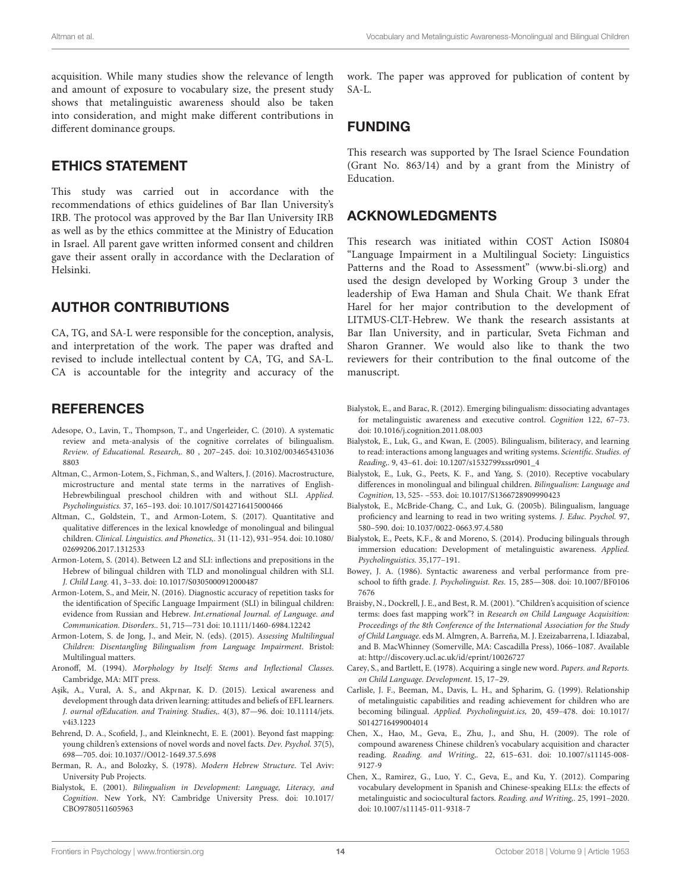acquisition. While many studies show the relevance of length and amount of exposure to vocabulary size, the present study shows that metalinguistic awareness should also be taken into consideration, and might make different contributions in different dominance groups.

### ETHICS STATEMENT

This study was carried out in accordance with the recommendations of ethics guidelines of Bar Ilan University's IRB. The protocol was approved by the Bar Ilan University IRB as well as by the ethics committee at the Ministry of Education in Israel. All parent gave written informed consent and children gave their assent orally in accordance with the Declaration of Helsinki.

# AUTHOR CONTRIBUTIONS

CA, TG, and SA-L were responsible for the conception, analysis, and interpretation of the work. The paper was drafted and revised to include intellectual content by CA, TG, and SA-L. CA is accountable for the integrity and accuracy of the

# **REFERENCES**

- <span id="page-13-5"></span>Adesope, O., Lavin, T., Thompson, T., and Ungerleider, C. (2010). A systematic review and meta-analysis of the cognitive correlates of bilingualism. Review. of Educational. Research,. 80 , 207–245. [doi: 10.3102/003465431036](https://doi.org/10.3102/0034654310368803) [8803](https://doi.org/10.3102/0034654310368803)
- <span id="page-13-17"></span>Altman, C., Armon-Lotem, S., Fichman, S., and Walters, J. (2016). Macrostructure, microstructure and mental state terms in the narratives of English-Hebrewbilingual preschool children with and without SLI. Applied. Psycholinguistics. 37, 165–193. [doi: 10.1017/S0142716415000466](https://doi.org/10.1017/S0142716415000466)
- <span id="page-13-18"></span>Altman, C., Goldstein, T., and Armon-Lotem, S. (2017). Quantitative and qualitative differences in the lexical knowledge of monolingual and bilingual children. Clinical. Linguistics. and Phonetics,. 31 (11-12), 931–954. [doi: 10.1080/](https://doi.org/10.1080/02699206.2017.1312533) [02699206.2017.1312533](https://doi.org/10.1080/02699206.2017.1312533)
- <span id="page-13-16"></span>Armon-Lotem, S. (2014). Between L2 and SLI: inflections and prepositions in the Hebrew of bilingual children with TLD and monolingual children with SLI. J. Child Lang. 41, 3–33. [doi: 10.1017/S0305000912000487](https://doi.org/10.1017/S0305000912000487)
- <span id="page-13-15"></span>Armon-Lotem, S., and Meir, N. (2016). Diagnostic accuracy of repetition tasks for the identification of Specific Language Impairment (SLI) in bilingual children: evidence from Russian and Hebrew. Int.ernational Journal. of Language. and Communication. Disorders.. 51, 715—731 [doi: 10.1111/1460-6984.12242](https://doi.org/10.1111/1460-6984.12242)
- <span id="page-13-1"></span>Armon-Lotem, S. de Jong, J., and Meir, N. (eds). (2015). Assessing Multilingual Children: Disentangling Bilingualism from Language Impairment. Bristol: Multilingual matters.
- <span id="page-13-20"></span>Aronoff, M. (1994). Morphology by Itself: Stems and Inflectional Classes. Cambridge, MA: MIT press.
- <span id="page-13-10"></span>A¸sik, A., Vural, A. S., and Akp*ı*nar, K. D. (2015). Lexical awareness and development through data driven learning: attitudes and beliefs of EFL learners. J. ournal ofEducation. and Training. Studies,. 4(3), 87—96. [doi: 10.11114/jets.](https://doi.org/10.11114/jets.v4i3.1223) [v4i3.1223](https://doi.org/10.11114/jets.v4i3.1223)
- <span id="page-13-12"></span>Behrend, D. A., Scofield, J., and Kleinknecht, E. E. (2001). Beyond fast mapping: young children's extensions of novel words and novel facts. Dev. Psychol. 37(5), 698—705. [doi: 10.1037//O012-1649.37.5.698](https://doi.org/10.1037//O012-1649.37.5.698)
- <span id="page-13-19"></span>Berman, R. A., and Bolozky, S. (1978). Modern Hebrew Structure. Tel Aviv: University Pub Projects.
- <span id="page-13-4"></span>Bialystok, E. (2001). Bilingualism in Development: Language, Literacy, and Cognition. New York, NY: Cambridge University Press. [doi: 10.1017/](https://doi.org/10.1017/CBO9780511605963) [CBO9780511605963](https://doi.org/10.1017/CBO9780511605963)

work. The paper was approved for publication of content by SA-L.

# FUNDING

This research was supported by The Israel Science Foundation (Grant No. 863/14) and by a grant from the Ministry of Education.

# ACKNOWLEDGMENTS

This research was initiated within COST Action IS0804 "Language Impairment in a Multilingual Society: Linguistics Patterns and the Road to Assessment" [\(www.bi-sli.org\)](http://www.bi-sli.org/) and used the design developed by Working Group 3 under the leadership of Ewa Haman and Shula Chait. We thank Efrat Harel for her major contribution to the development of LITMUS-CLT-Hebrew. We thank the research assistants at Bar Ilan University, and in particular, Sveta Fichman and Sharon Granner. We would also like to thank the two reviewers for their contribution to the final outcome of the manuscript.

- <span id="page-13-14"></span>Bialystok, E., and Barac, R. (2012). Emerging bilingualism: dissociating advantages for metalinguistic awareness and executive control. Cognition 122, 67–73. [doi: 10.1016/j.cognition.2011.08.003](https://doi.org/10.1016/j.cognition.2011.08.003)
- <span id="page-13-3"></span>Bialystok, E., Luk, G., and Kwan, E. (2005). Bilingualism, biliteracy, and learning to read: interactions among languages and writing systems. Scientific. Studies. of Reading,. 9, 43–61. [doi: 10.1207/s1532799xssr0901\\_4](https://doi.org/10.1207/s1532799xssr0901_4)
- <span id="page-13-0"></span>Bialystok, E., Luk, G., Peets, K. F., and Yang, S. (2010). Receptive vocabulary differences in monolingual and bilingual children. Bilingualism: Language and Cognition, 13, 525- –553. [doi: 10.1017/S1366728909990423](https://doi.org/10.1017/S1366728909990423)
- Bialystok, E., McBride-Chang, C., and Luk, G. (2005b). Bilingualism, language proficiency and learning to read in two writing systems. J. Educ. Psychol. 97, 580–590. [doi: 10.1037/0022-0663.97.4.580](https://doi.org/10.1037/0022-0663.97.4.580)
- <span id="page-13-2"></span>Bialystok, E., Peets, K.F., & and Moreno, S. (2014). Producing bilinguals through immersion education: Development of metalinguistic awareness. Applied. Psycholinguistics. 35,177–191.
- <span id="page-13-7"></span>Bowey, J. A. (1986). Syntactic awareness and verbal performance from preschool to fifth grade. J. Psycholinguist. Res. 15, 285—308. [doi: 10.1007/BF0106](https://doi.org/10.1007/BF01067676) [7676](https://doi.org/10.1007/BF01067676)
- <span id="page-13-13"></span>Braisby, N., Dockrell, J. E., and Best, R. M. (2001). "Children's acquisition of science terms: does fast mapping work"? in Research on Child Language Acquisition: Proceedings of the 8th Conference of the International Association for the Study of Child Language. eds M. Almgren, A. Barreña, M. J. Ezeizabarrena, I. Idiazabal, and B. MacWhinney (Somerville, MA: Cascadilla Press), 1066–1087. Available at: <http://discovery.ucl.ac.uk/id/eprint/10026727>
- <span id="page-13-11"></span>Carey, S., and Bartlett, E. (1978). Acquiring a single new word. Papers. and Reports. on Child Language. Development. 15, 17–29.
- <span id="page-13-6"></span>Carlisle, J. F., Beeman, M., Davis, L. H., and Spharim, G. (1999). Relationship of metalinguistic capabilities and reading achievement for children who are becoming bilingual. Applied. Psycholinguist.ics, 20, 459–478. [doi: 10.1017/](https://doi.org/10.1017/S0142716499004014) [S0142716499004014](https://doi.org/10.1017/S0142716499004014)
- <span id="page-13-8"></span>Chen, X., Hao, M., Geva, E., Zhu, J., and Shu, H. (2009). The role of compound awareness Chinese children's vocabulary acquisition and character reading. Reading. and Writing,. 22, 615–631. [doi: 10.1007/s11145-008-](https://doi.org/10.1007/s11145-008-9127-9) [9127-9](https://doi.org/10.1007/s11145-008-9127-9)
- <span id="page-13-9"></span>Chen, X., Ramirez, G., Luo, Y. C., Geva, E., and Ku, Y. (2012). Comparing vocabulary development in Spanish and Chinese-speaking ELLs: the effects of metalinguistic and sociocultural factors. Reading. and Writing,. 25, 1991–2020. [doi: 10.1007/s11145-011-9318-7](https://doi.org/10.1007/s11145-011-9318-7)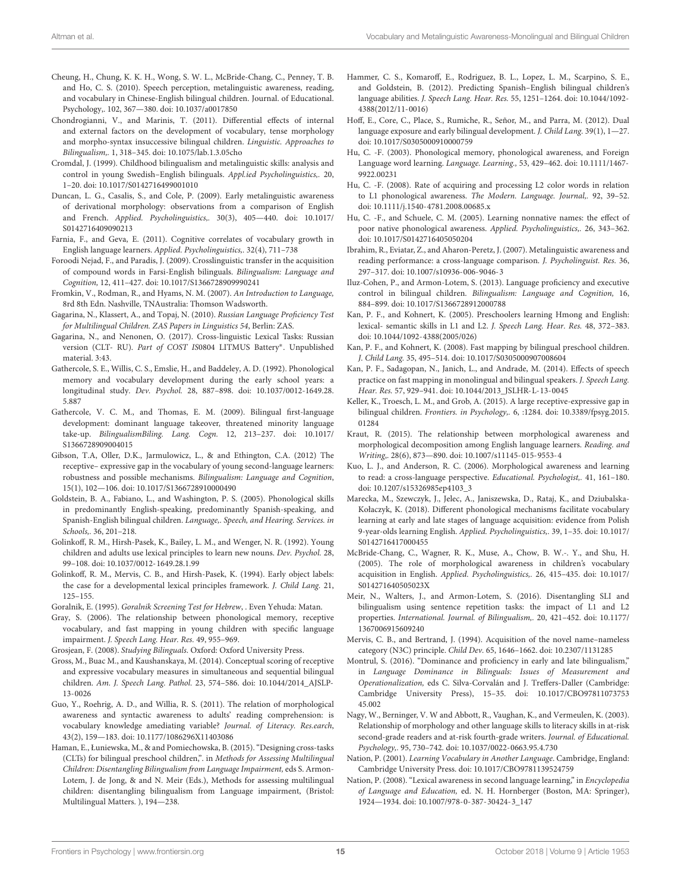- <span id="page-14-20"></span>Cheung, H., Chung, K. K. H., Wong, S. W. L., McBride-Chang, C., Penney, T. B. and Ho, C. S. (2010). Speech perception, metalinguistic awareness, reading, and vocabulary in Chinese-English bilingual children. Journal. of Educational. Psychology,. 102, 367—380. [doi: 10.1037/a0017850](https://doi.org/10.1037/a0017850)
- <span id="page-14-40"></span>Chondrogianni, V., and Marinis, T. (2011). Differential effects of internal and external factors on the development of vocabulary, tense morphology and morpho-syntax insuccessive bilingual children. Linguistic. Approaches to Bilingualism,. 1, 318–345. [doi: 10.1075/lab.1.3.05cho](https://doi.org/10.1075/lab.1.3.05cho)
- <span id="page-14-37"></span>Cromdal, J. (1999). Childhood bilingualism and metalinguistic skills: analysis and control in young Swedish–English bilinguals. Appl.ied Psycholinguistics,. 20, 1–20. [doi: 10.1017/S0142716499001010](https://doi.org/10.1017/S0142716499001010)
- <span id="page-14-11"></span>Duncan, L. G., Casalis, S., and Cole, P. (2009). Early metalinguistic awareness of derivational morphology: observations from a comparison of English and French. Applied. Psycholinguistics,. 30(3), 405—440. [doi: 10.1017/](https://doi.org/10.1017/S0142716409090213) [S0142716409090213](https://doi.org/10.1017/S0142716409090213)
- <span id="page-14-15"></span>Farnia, F., and Geva, E. (2011). Cognitive correlates of vocabulary growth in English language learners. Applied. Psycholinguistics,. 32(4), 711–738
- <span id="page-14-9"></span>Foroodi Nejad, F., and Paradis, J. (2009). Crosslinguistic transfer in the acquisition of compound words in Farsi-English bilinguals. Bilingualism: Language and Cognition, 12, 411–427. [doi: 10.1017/S1366728909990241](https://doi.org/10.1017/S1366728909990241)
- <span id="page-14-3"></span>Fromkin, V., Rodman, R., and Hyams, N. M. (2007). An Introduction to Language, 8rd 8th Edn. Nashville, TNAustralia: Thomson Wadsworth.
- <span id="page-14-36"></span>Gagarina, N., Klassert, A., and Topaj, N. (2010). Russian Language Proficiency Test for Multilingual Children. ZAS Papers in Linguistics 54, Berlin: ZAS.
- <span id="page-14-39"></span>Gagarina, N., and Nenonen, O. (2017). Cross-linguistic Lexical Tasks: Russian version (CLT- RU). Part of COST IS0804 LITMUS Battery\*. Unpublished material. 3:43.
- <span id="page-14-41"></span>Gathercole, S. E., Willis, C. S., Emslie, H., and Baddeley, A. D. (1992). Phonological memory and vocabulary development during the early school years: a longitudinal study. Dev. Psychol. 28, 887–898. [doi: 10.1037/0012-1649.28.](https://doi.org/10.1037/0012-1649.28.5.887) [5.887](https://doi.org/10.1037/0012-1649.28.5.887)
- <span id="page-14-5"></span>Gathercole, V. C. M., and Thomas, E. M. (2009). Bilingual first-language development: dominant language takeover, threatened minority language take-up. BilingualismBiling. Lang. Cogn. 12, 213–237. [doi: 10.1017/](https://doi.org/10.1017/S1366728909004015) [S1366728909004015](https://doi.org/10.1017/S1366728909004015)
- <span id="page-14-2"></span>Gibson, T.A, Oller, D.K., Jarmulowicz, L., & and Ethington, C.A. (2012) The receptive– expressive gap in the vocabulary of young second-language learners: robustness and possible mechanisms. Bilingualism: Language and Cognition, 15(1), 102—106. [doi: 10.1017/S1366728910000490](https://doi.org/10.1017/S1366728910000490)
- <span id="page-14-12"></span>Goldstein, B. A., Fabiano, L., and Washington, P. S. (2005). Phonological skills in predominantly English-speaking, predominantly Spanish-speaking, and Spanish-English bilingual children. Language,. Speech, and Hearing. Services. in Schools,. 36, 201–218.
- <span id="page-14-31"></span>Golinkoff, R. M., Hirsh-Pasek, K., Bailey, L. M., and Wenger, N. R. (1992). Young children and adults use lexical principles to learn new nouns. Dev. Psychol. 28, 99–108. [doi: 10.1037/0012-1649.28.1.99](https://doi.org/10.1037/0012-1649.28.1.99)
- <span id="page-14-29"></span>Golinkoff, R. M., Mervis, C. B., and Hirsh-Pasek, K. (1994). Early object labels: the case for a developmental lexical principles framework. J. Child Lang. 21, 125–155.
- <span id="page-14-34"></span>Goralnik, E. (1995). Goralnik Screening Test for Hebrew, . Even Yehuda: Matan.
- <span id="page-14-27"></span>Gray, S. (2006). The relationship between phonological memory, receptive vocabulary, and fast mapping in young children with specific language impairment. J. Speech Lang. Hear. Res. 49, 955–969.
- <span id="page-14-6"></span>Grosjean, F. (2008). Studying Bilinguals. Oxford: Oxford University Press.
- <span id="page-14-4"></span>Gross, M., Buac M., and Kaushanskaya, M. (2014). Conceptual scoring of receptive and expressive vocabulary measures in simultaneous and sequential bilingual children. Am. J. Speech Lang. Pathol. 23, 574–586. [doi: 10.1044/2014\\_AJSLP-](https://doi.org/10.1044/2014_AJSLP-13-0026)[13-0026](https://doi.org/10.1044/2014_AJSLP-13-0026)
- <span id="page-14-21"></span>Guo, Y., Roehrig, A. D., and Willia, R. S. (2011). The relation of morphological awareness and syntactic awareness to adults' reading comprehension: is vocabulary knowledge amediating variable? Journal. of Literacy. Res.earch, 43(2), 159—183. [doi: 10.1177/1086296X11403086](https://doi.org/10.1177/1086296X11403086)
- <span id="page-14-38"></span>Haman, E., Łuniewska, M., & and Pomiechowska, B. (2015). "Designing cross-tasks (CLTs) for bilingual preschool children,". in Methods for Assessing Multilingual Children: Disentangling Bilingualism from Language Impairment, eds S. Armon-Lotem, J. de Jong, & and N. Meir (Eds.), Methods for assessing multilingual children: disentangling bilingualism from Language impairment, (Bristol: Multilingual Matters. ), 194—238.
- <span id="page-14-7"></span>Hammer, C. S., Komaroff, E., Rodriguez, B. L., Lopez, L. M., Scarpino, S. E., and Goldstein, B. (2012). Predicting Spanish–English bilingual children's language abilities. J. Speech Lang. Hear. Res. 55, 1251–1264. [doi: 10.1044/1092-](https://doi.org/10.1044/1092-4388(2012/11-0016)) [4388\(2012/11-0016\)](https://doi.org/10.1044/1092-4388(2012/11-0016))
- <span id="page-14-0"></span>Hoff, E., Core, C., Place, S., Rumiche, R., Señor, M., and Parra, M. (2012). Dual language exposure and early bilingual development. J. Child Lang. 39(1), 1—27. [doi: 10.1017/S0305000910000759](https://doi.org/10.1017/S0305000910000759)
- <span id="page-14-18"></span>Hu, C. -F. (2003). Phonological memory, phonological awareness, and Foreign Language word learning. Language. Learning., 53, 429–462. [doi: 10.1111/1467-](https://doi.org/10.1111/1467-9922.00231) [9922.00231](https://doi.org/10.1111/1467-9922.00231)
- <span id="page-14-17"></span>Hu, C. -F. (2008). Rate of acquiring and processing L2 color words in relation to L1 phonological awareness. The Modern. Language. Journal,. 92, 39–52. [doi: 10.1111/j.1540-4781.2008.00685.x](https://doi.org/10.1111/j.1540-4781.2008.00685.x)
- <span id="page-14-16"></span>Hu, C. -F., and Schuele, C. M. (2005). Learning nonnative names: the effect of poor native phonological awareness. Applied. Psycholinguistics,. 26, 343–362. [doi: 10.1017/S0142716405050204](https://doi.org/10.1017/S0142716405050204)
- <span id="page-14-14"></span>Ibrahim, R., Eviatar, Z., and Aharon-Peretz, J. (2007). Metalinguistic awareness and reading performance: a cross-language comparison. J. Psycholinguist. Res. 36, 297–317. [doi: 10.1007/s10936-006-9046-3](https://doi.org/10.1007/s10936-006-9046-3)
- <span id="page-14-35"></span>Iluz-Cohen, P., and Armon-Lotem, S. (2013). Language proficiency and executive control in bilingual children. Bilingualism: Language and Cognition, 16, 884–899. [doi: 10.1017/S1366728912000788](https://doi.org/10.1017/S1366728912000788)
- <span id="page-14-26"></span>Kan, P. F., and Kohnert, K. (2005). Preschoolers learning Hmong and English: lexical- semantic skills in L1 and L2. J. Speech Lang. Hear. Res. 48, 372–383. [doi: 10.1044/1092-4388\(2005/026\)](https://doi.org/10.1044/1092-4388(2005/026))
- <span id="page-14-32"></span>Kan, P. F., and Kohnert, K. (2008). Fast mapping by bilingual preschool children. J. Child Lang. 35, 495–514. [doi: 10.1017/S0305000907008604](https://doi.org/10.1017/S0305000907008604)
- <span id="page-14-28"></span>Kan, P. F., Sadagopan, N., Janich, L., and Andrade, M. (2014). Effects of speech practice on fast mapping in monolingual and bilingual speakers. J. Speech Lang. Hear. Res. 57, 929–941. [doi: 10.1044/2013\\_JSLHR-L-13-0045](https://doi.org/10.1044/2013_JSLHR-L-13-0045)
- <span id="page-14-1"></span>Keller, K., Troesch, L. M., and Grob, A. (2015). A large receptive-expressive gap in bilingual children. Frontiers. in Psychology,. 6, :1284. [doi: 10.3389/fpsyg.2015.](https://doi.org/10.3389/fpsyg.2015.01284) [01284](https://doi.org/10.3389/fpsyg.2015.01284)
- <span id="page-14-22"></span>Kraut, R. (2015). The relationship between morphological awareness and morphological decomposition among English language learners. Reading. and Writing,. 28(6), 873—890. [doi: 10.1007/s11145-015-9553-4](https://doi.org/10.1007/s11145-015-9553-4)
- <span id="page-14-24"></span>Kuo, L. J., and Anderson, R. C. (2006). Morphological awareness and learning to read: a cross-language perspective. Educational. Psychologist,. 41, 161–180. [doi: 10.1207/s15326985ep4103\\_3](https://doi.org/10.1207/s15326985ep4103_3)
- <span id="page-14-19"></span>Marecka, M., Szewczyk, J., Jelec, A., Janiszewska, D., Rataj, K., and Dziubalska-Kołaczyk, K. (2018). Different phonological mechanisms facilitate vocabulary learning at early and late stages of language acquisition: evidence from Polish 9-year-olds learning English. Applied. Psycholinguistics,. 39, 1–35. [doi: 10.1017/](https://doi.org/10.1017/S0142716417000455) [S0142716417000455](https://doi.org/10.1017/S0142716417000455)
- <span id="page-14-13"></span>McBride-Chang, C., Wagner, R. K., Muse, A., Chow, B. W.-. Y., and Shu, H. (2005). The role of morphological awareness in children's vocabulary acquisition in English. Applied. Psycholinguistics,. 26, 415–435. [doi: 10.1017/](https://doi.org/10.1017/S014271640505023X) [S014271640505023X](https://doi.org/10.1017/S014271640505023X)
- <span id="page-14-8"></span>Meir, N., Walters, J., and Armon-Lotem, S. (2016). Disentangling SLI and bilingualism using sentence repetition tasks: the impact of L1 and L2 properties. International. Journal. of Bilingualism,. 20, 421–452. [doi: 10.1177/](https://doi.org/10.1177/1367006915609240) [1367006915609240](https://doi.org/10.1177/1367006915609240)
- <span id="page-14-30"></span>Mervis, C. B., and Bertrand, J. (1994). Acquisition of the novel name–nameless category (N3C) principle. Child Dev. 65, 1646–1662. [doi: 10.2307/1131285](https://doi.org/10.2307/1131285)
- <span id="page-14-10"></span>Montrul, S. (2016). "Dominance and proficiency in early and late bilingualism," in Language Dominance in Bilinguals: Issues of Measurement and Operationalization, eds C. Silva-Corvalán and J. Treffers-Daller (Cambridge: Cambridge University Press), 15–35. [doi: 10.1017/CBO97811073753](https://doi.org/10.1017/CBO9781107375345.002) [45.002](https://doi.org/10.1017/CBO9781107375345.002)
- <span id="page-14-23"></span>Nagy, W., Berninger, V. W and Abbott, R., Vaughan, K., and Vermeulen, K. (2003). Relationship of morphology and other language skills to literacy skills in at-risk second-grade readers and at-risk fourth-grade writers. Journal. of Educational. Psychology,. 95, 730–742. [doi: 10.1037/0022-0663.95.4.730](https://doi.org/10.1037/0022-0663.95.4.730)
- <span id="page-14-33"></span>Nation, P. (2001). Learning Vocabulary in Another Language. Cambridge, England: Cambridge University Press. [doi: 10.1017/CBO9781139524759](https://doi.org/10.1017/CBO9781139524759)
- <span id="page-14-25"></span>Nation, P. (2008). "Lexical awareness in second language learning," in Encyclopedia of Language and Education, ed. N. H. Hornberger (Boston, MA: Springer), 1924—1934. [doi: 10.1007/978-0-387-30424-3\\_147](https://doi.org/10.1007/978-0-387-30424-3_147)